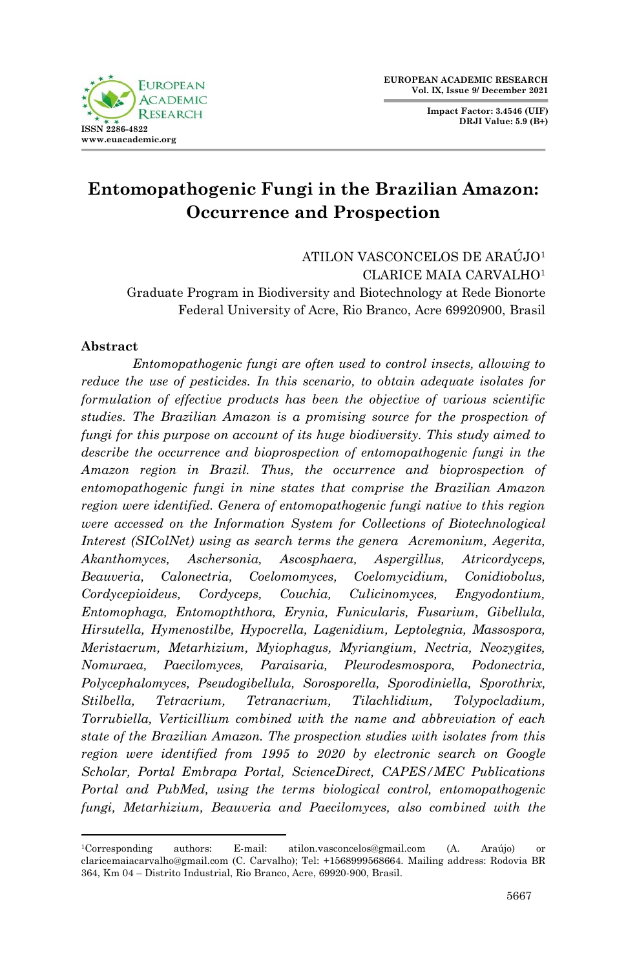**FUROPEAN ACADEMIC RESEARCH ISSN 2286-4822 www.euacademic.org**

**Impact Factor: 3.4546 (UIF) DRJI Value: 5.9 (B+)**

# **Entomopathogenic Fungi in the Brazilian Amazon: Occurrence and Prospection**

ATILON VASCONCELOS DE ARAÚJO<sup>1</sup> CLARICE MAIA CARVALHO<sup>1</sup> Graduate Program in Biodiversity and Biotechnology at Rede Bionorte Federal University of Acre, Rio Branco, Acre 69920900, Brasil

### **Abstract**

1

*Entomopathogenic fungi are often used to control insects, allowing to reduce the use of pesticides. In this scenario, to obtain adequate isolates for formulation of effective products has been the objective of various scientific studies. The Brazilian Amazon is a promising source for the prospection of fungi for this purpose on account of its huge biodiversity. This study aimed to describe the occurrence and bioprospection of entomopathogenic fungi in the Amazon region in Brazil. Thus, the occurrence and bioprospection of entomopathogenic fungi in nine states that comprise the Brazilian Amazon region were identified. Genera of entomopathogenic fungi native to this region were accessed on the Information System for Collections of Biotechnological Interest (SIColNet) using as search terms the genera Acremonium, Aegerita, Akanthomyces, Aschersonia, Ascosphaera, Aspergillus, Atricordyceps, Beauveria, Calonectria, Coelomomyces, Coelomycidium, Conidiobolus, Cordycepioideus, Cordyceps, Couchia, Culicinomyces, Engyodontium, Entomophaga, Entomopththora, Erynia, Funicularis, Fusarium, Gibellula, Hirsutella, Hymenostilbe, Hypocrella, Lagenidium, Leptolegnia, Massospora, Meristacrum, Metarhizium, Myiophagus, Myriangium, Nectria, Neozygites, Nomuraea, Paecilomyces, Paraisaria, Pleurodesmospora, Podonectria, Polycephalomyces, Pseudogibellula, Sorosporella, Sporodiniella, Sporothrix, Stilbella, Tetracrium, Tetranacrium, Tilachlidium, Tolypocladium, Torrubiella, Verticillium combined with the name and abbreviation of each state of the Brazilian Amazon. The prospection studies with isolates from this region were identified from 1995 to 2020 by electronic search on Google Scholar, Portal Embrapa Portal, ScienceDirect, CAPES/MEC Publications Portal and PubMed, using the terms biological control, entomopathogenic fungi, Metarhizium, Beauveria and Paecilomyces, also combined with the* 

<sup>1</sup>Corresponding authors: E-mail: atilon.vasconcelos@gmail.com (A. Araújo) or claricemaiacarvalho@gmail.com (C. Carvalho); Tel: +1568999568664. Mailing address: Rodovia BR 364, Km 04 – Distrito Industrial, Rio Branco, Acre, 69920-900, Brasil.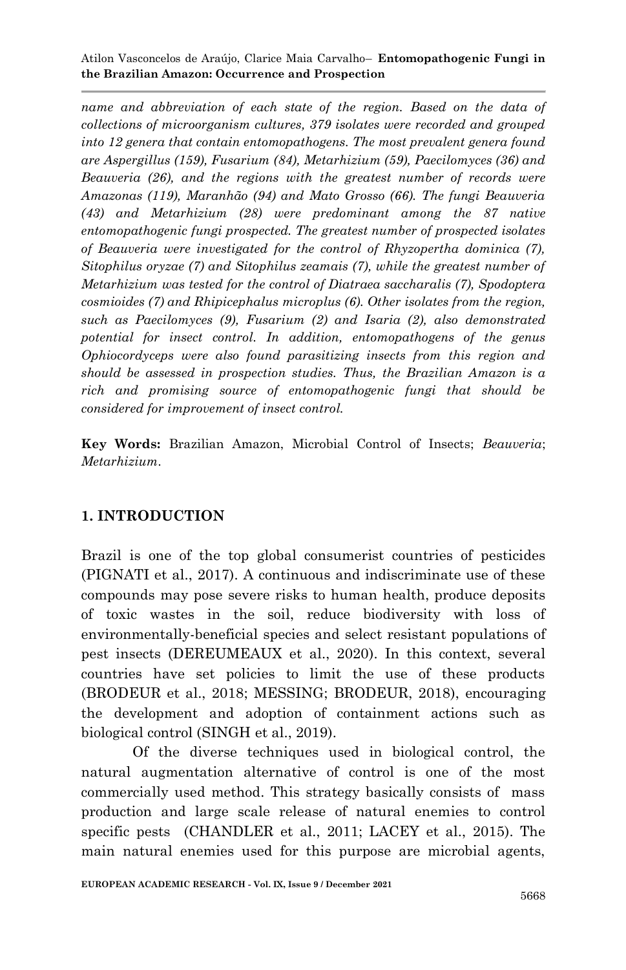*name and abbreviation of each state of the region. Based on the data of collections of microorganism cultures, 379 isolates were recorded and grouped into 12 genera that contain entomopathogens. The most prevalent genera found are Aspergillus (159), Fusarium (84), Metarhizium (59), Paecilomyces (36) and Beauveria (26), and the regions with the greatest number of records were Amazonas (119), Maranhão (94) and Mato Grosso (66). The fungi Beauveria (43) and Metarhizium (28) were predominant among the 87 native entomopathogenic fungi prospected. The greatest number of prospected isolates of Beauveria were investigated for the control of Rhyzopertha dominica (7), Sitophilus oryzae (7) and Sitophilus zeamais (7), while the greatest number of Metarhizium was tested for the control of Diatraea saccharalis (7), Spodoptera cosmioides (7) and Rhipicephalus microplus (6). Other isolates from the region, such as Paecilomyces (9), Fusarium (2) and Isaria (2), also demonstrated potential for insect control. In addition, entomopathogens of the genus Ophiocordyceps were also found parasitizing insects from this region and should be assessed in prospection studies. Thus, the Brazilian Amazon is a rich and promising source of entomopathogenic fungi that should be considered for improvement of insect control.* 

**Key Words:** Brazilian Amazon, Microbial Control of Insects; *Beauveria*; *Metarhizium*.

## **1. INTRODUCTION**

Brazil is one of the top global consumerist countries of pesticides [\(PIGNATI et al., 2017\)](#page-22-0). A continuous and indiscriminate use of these compounds may pose severe risks to human health, produce deposits of toxic wastes in the soil, reduce biodiversity with loss of environmentally-beneficial species and select resistant populations of pest insects [\(DEREUMEAUX et al., 2020\)](#page-19-0). In this context, several countries have set policies to limit the use of these products [\(BRODEUR et al., 2018;](#page-18-0) [MESSING; BRODEUR, 2018\)](#page-21-0), encouraging the development and adoption of containment actions such as biological control [\(SINGH et al., 2019\)](#page-22-1).

Of the diverse techniques used in biological control, the natural augmentation alternative of control is one of the most commercially used method. This strategy basically consists of mass production and large scale release of natural enemies to control specific pests (CHANDLER et al., 2011; LACEY et al., 2015). The main natural enemies used for this purpose are microbial agents,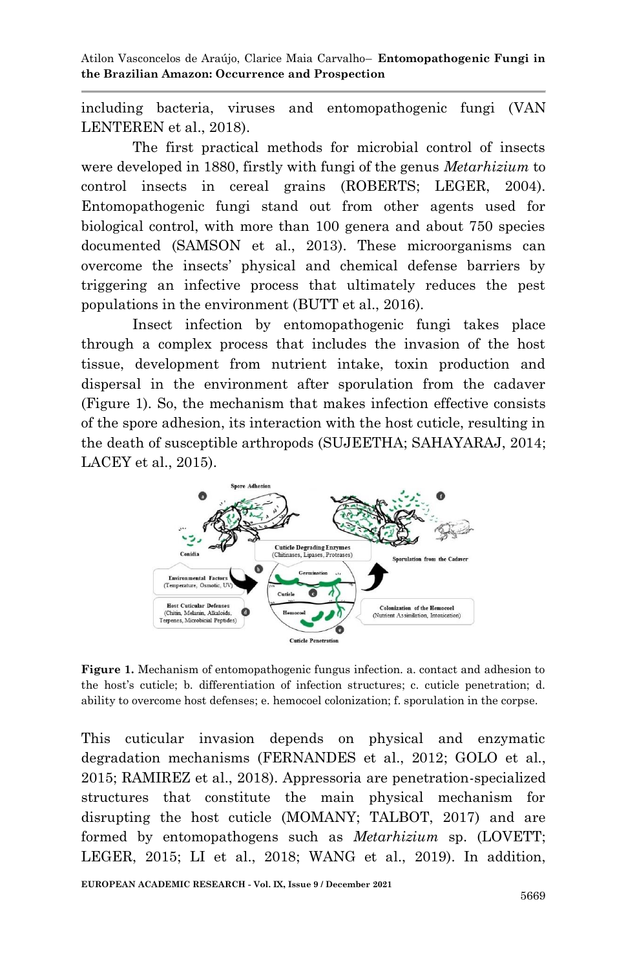including bacteria, viruses and entomopathogenic fungi [\(VAN](#page-23-0)  [LENTEREN et al., 2018\)](#page-23-0).

The first practical methods for microbial control of insects were developed in 1880, firstly with fungi of the genus *Metarhizium* to control insects in cereal grains [\(ROBERTS; LEGER, 2004\)](#page-22-2). Entomopathogenic fungi stand out from other agents used for biological control, with more than 100 genera and about 750 species documented [\(SAMSON et al., 2013\)](#page-22-3). These microorganisms can overcome the insects' physical and chemical defense barriers by triggering an infective process that ultimately reduces the pest populations in the environment [\(BUTT et al., 2016\)](#page-18-1).

Insect infection by entomopathogenic fungi takes place through a complex process that includes the invasion of the host tissue, development from nutrient intake, toxin production and dispersal in the environment after sporulation from the cadaver (Figure 1). So, the mechanism that makes infection effective consists of the spore adhesion, its interaction with the host cuticle, resulting in the death of susceptible arthropods [\(SUJEETHA; SAHAYARAJ, 2014;](#page-23-1) [LACEY et al., 2015\)](#page-20-0).



**Figure 1.** Mechanism of entomopathogenic fungus infection. a. contact and adhesion to the host's cuticle; b. differentiation of infection structures; c. cuticle penetration; d. ability to overcome host defenses; e. hemocoel colonization; f. sporulation in the corpse.

This cuticular invasion depends on physical and enzymatic degradation mechanisms [\(FERNANDES et al., 2012;](#page-19-1) [GOLO et al.,](#page-20-1)  [2015;](#page-20-1) [RAMIREZ et al., 2018\)](#page-22-4). Appressoria are penetration-specialized structures that constitute the main physical mechanism for disrupting the host cuticle [\(MOMANY; TALBOT, 2017\)](#page-21-1) and are formed by entomopathogens such as *Metarhizium* sp. [\(LOVETT;](#page-20-2)  [LEGER, 2015;](#page-20-2) [LI et al., 2018;](#page-20-3) [WANG et al., 2019\)](#page-23-2). In addition,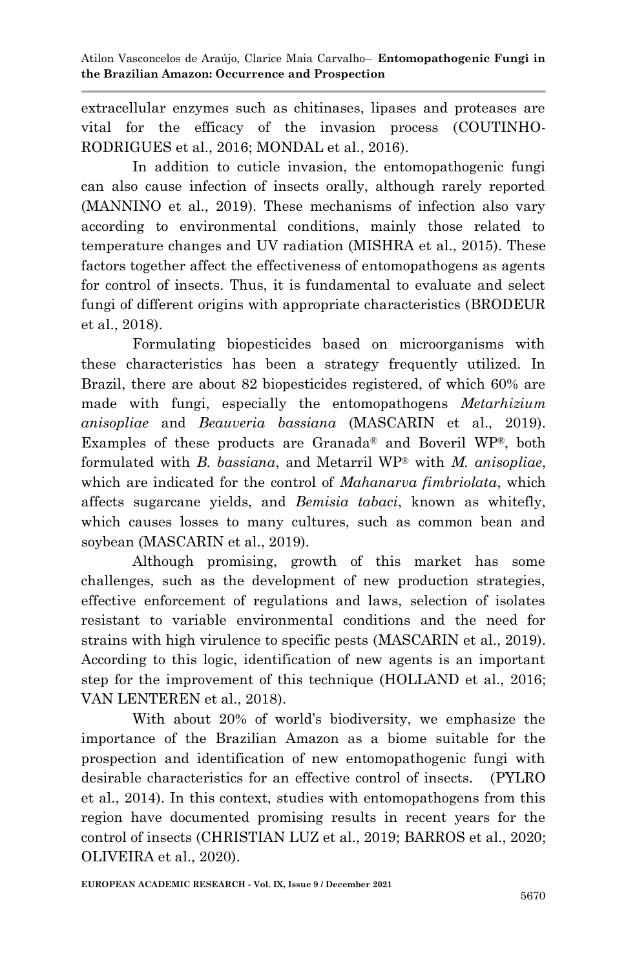extracellular enzymes such as chitinases, lipases and proteases are vital for the efficacy of the invasion process [\(COUTINHO-](#page-19-2)[RODRIGUES et al., 2016;](#page-19-2) [MONDAL et al., 2016\)](#page-21-2).

In addition to cuticle invasion, the entomopathogenic fungi can also cause infection of insects orally, although rarely reported [\(MANNINO et al., 2019\)](#page-21-3). These mechanisms of infection also vary according to environmental conditions, mainly those related to temperature changes and UV radiation (MISHRA [et al., 2015\)](#page-21-4). These factors together affect the effectiveness of entomopathogens as agents for control of insects. Thus, it is fundamental to evaluate and select fungi of different origins with appropriate characteristics [\(BRODEUR](#page-18-0)  [et al., 2018\)](#page-18-0).

Formulating biopesticides based on microorganisms with these characteristics has been a strategy frequently utilized. In Brazil, there are about 82 biopesticides registered, of which 60% are made with fungi, especially the entomopathogens *Metarhizium anisopliae* and *Beauveria bassiana* [\(MASCARIN et al., 2019\)](#page-21-5). Examples of these products are Granada® and Boveril WP®, both formulated with *B. bassiana*, and Metarril WP® with *M. anisopliae*, which are indicated for the control of *Mahanarva fimbriolata*, which affects sugarcane yields, and *Bemisia tabaci*, known as whitefly, which causes losses to many cultures, such as common bean and soybean [\(MASCARIN et al., 2019\)](#page-21-5).

Although promising, growth of this market has some challenges, such as the development of new production strategies, effective enforcement of regulations and laws, selection of isolates resistant to variable environmental conditions and the need for strains with high virulence to specific pests [\(MASCARIN et al., 2019\)](#page-21-5). According to this logic, identification of new agents is an important step for the improvement of this technique [\(HOLLAND et al., 2016;](#page-20-4) [VAN LENTEREN et al., 2018\)](#page-23-0).

With about 20% of world's biodiversity, we emphasize the importance of the Brazilian Amazon as a biome suitable for the prospection and identification of new entomopathogenic fungi with desirable characteristics for an effective control of insects. [\(PYLRO](#page-22-5)  [et al., 2014\)](#page-22-5). In this context, studies with entomopathogens from this region have documented promising results in recent years for the control of insects [\(CHRISTIAN LUZ et al., 2019;](#page-18-2) [BARROS et al., 2020;](#page-18-3) [OLIVEIRA et al., 2020\)](#page-21-6).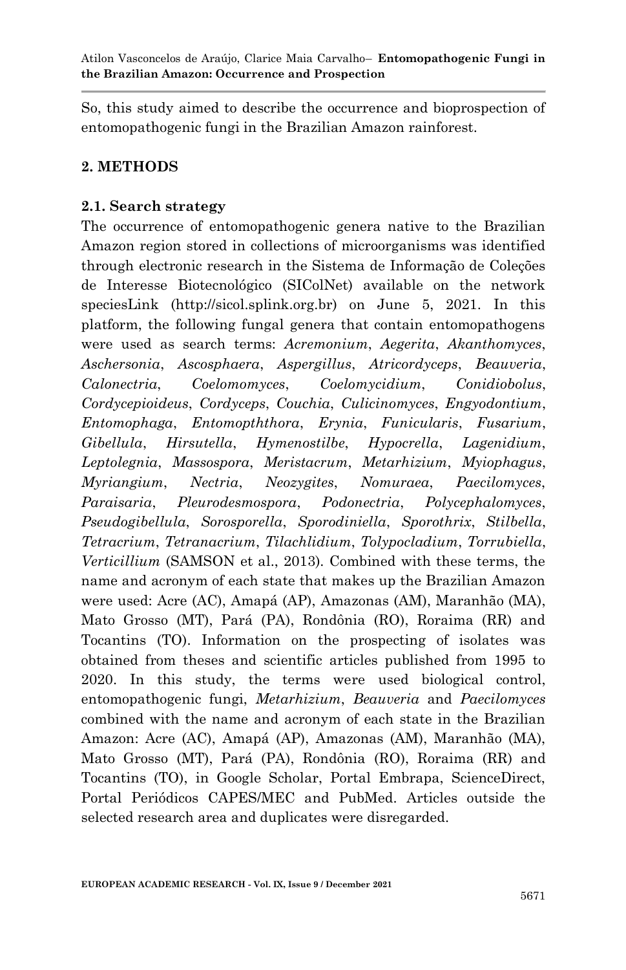So, this study aimed to describe the occurrence and bioprospection of entomopathogenic fungi in the Brazilian Amazon rainforest.

## **2. METHODS**

### **2.1. Search strategy**

The occurrence of entomopathogenic genera native to the Brazilian Amazon region stored in collections of microorganisms was identified through electronic research in the Sistema de Informação de Coleções de Interesse Biotecnológico (SIColNet) available on the network speciesLink (http://sicol.splink.org.br) on June 5, 2021. In this platform, the following fungal genera that contain entomopathogens were used as search terms: *Acremonium*, *Aegerita*, *Akanthomyces*, *Aschersonia*, *Ascosphaera*, *Aspergillus*, *Atricordyceps*, *Beauveria*, *Calonectria*, *Coelomomyces*, *Coelomycidium*, *Conidiobolus*, *Cordycepioideus*, *Cordyceps*, *Couchia*, *Culicinomyces*, *Engyodontium*, *Entomophaga*, *Entomopththora*, *Erynia*, *Funicularis*, *Fusarium*, *Gibellula*, *Hirsutella*, *Hymenostilbe*, *Hypocrella*, *Lagenidium*, *Leptolegnia*, *Massospora*, *Meristacrum*, *Metarhizium*, *Myiophagus*, *Myriangium*, *Nectria*, *Neozygites*, *Nomuraea*, *Paecilomyces*, *Paraisaria*, *Pleurodesmospora*, *Podonectria*, *Polycephalomyces*, *Pseudogibellula*, *Sorosporella*, *Sporodiniella*, *Sporothrix*, *Stilbella*, *Tetracrium*, *Tetranacrium*, *Tilachlidium*, *Tolypocladium*, *Torrubiella*, *Verticillium* (SAMSON et al., 2013). Combined with these terms, the name and acronym of each state that makes up the Brazilian Amazon were used: Acre (AC), Amapá (AP), Amazonas (AM), Maranhão (MA), Mato Grosso (MT), Pará (PA), Rondônia (RO), Roraima (RR) and Tocantins (TO). Information on the prospecting of isolates was obtained from theses and scientific articles published from 1995 to 2020. In this study, the terms were used biological control, entomopathogenic fungi, *Metarhizium*, *Beauveria* and *Paecilomyces* combined with the name and acronym of each state in the Brazilian Amazon: Acre (AC), Amapá (AP), Amazonas (AM), Maranhão (MA), Mato Grosso (MT), Pará (PA), Rondônia (RO), Roraima (RR) and Tocantins (TO), in Google Scholar, Portal Embrapa, ScienceDirect, Portal Periódicos CAPES/MEC and PubMed. Articles outside the selected research area and duplicates were disregarded.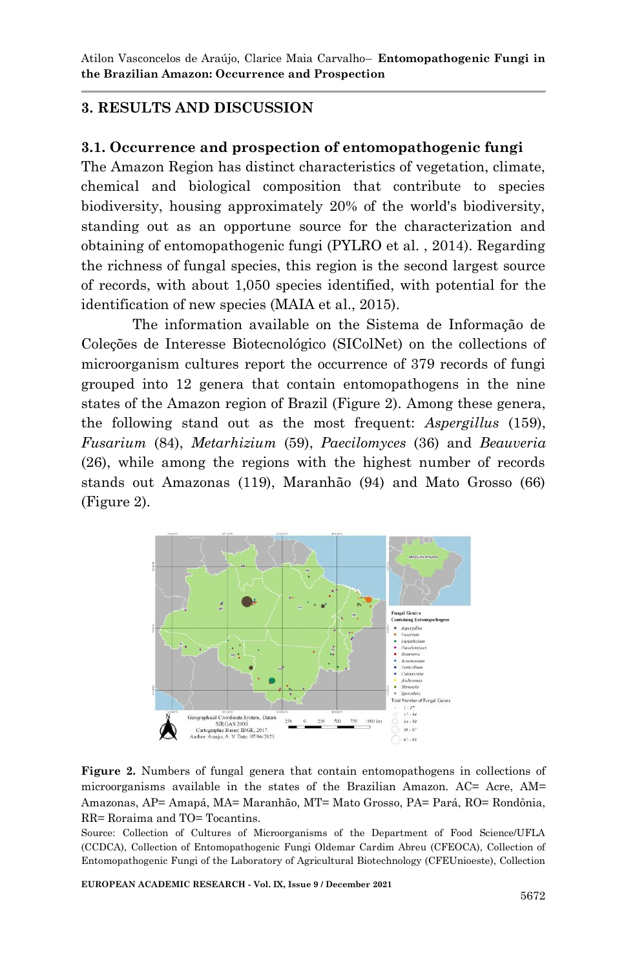### **3. RESULTS AND DISCUSSION**

#### **3.1. Occurrence and prospection of entomopathogenic fungi**

The Amazon Region has distinct characteristics of vegetation, climate, chemical and biological composition that contribute to species biodiversity, housing approximately 20% of the world's biodiversity, standing out as an opportune source for the characterization and obtaining of entomopathogenic fungi (PYLRO et al. , 2014). Regarding the richness of fungal species, this region is the second largest source of records, with about 1,050 species identified, with potential for the identification of new species (MAIA et al., 2015).

The information available on the Sistema de Informação de Coleções de Interesse Biotecnológico (SIColNet) on the collections of microorganism cultures report the occurrence of 379 records of fungi grouped into 12 genera that contain entomopathogens in the nine states of the Amazon region of Brazil (Figure 2). Among these genera, the following stand out as the most frequent: *Aspergillus* (159), *Fusarium* (84), *Metarhizium* (59), *Paecilomyces* (36) and *Beauveria* (26), while among the regions with the highest number of records stands out Amazonas (119), Maranhão (94) and Mato Grosso (66) (Figure 2).



**Figure 2.** Numbers of fungal genera that contain entomopathogens in collections of microorganisms available in the states of the Brazilian Amazon. AC= Acre, AM= Amazonas, AP= Amapá, MA= Maranhão, MT= Mato Grosso, PA= Pará, RO= Rondônia, RR= Roraima and TO= Tocantins.

Source: Collection of Cultures of Microorganisms of the Department of Food Science/UFLA (CCDCA), Collection of Entomopathogenic Fungi Oldemar Cardim Abreu (CFEOCA), Collection of Entomopathogenic Fungi of the Laboratory of Agricultural Biotechnology (CFEUnioeste), Collection

**EUROPEAN ACADEMIC RESEARCH - Vol. IX, Issue 9 / December 2021**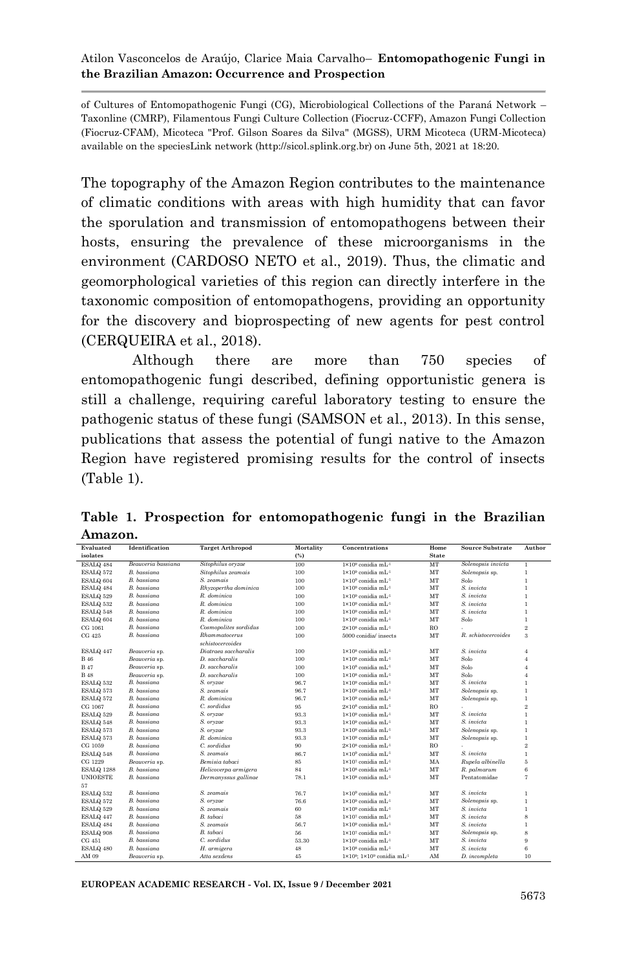of Cultures of Entomopathogenic Fungi (CG), Microbiological Collections of the Paraná Network – Taxonline (CMRP), Filamentous Fungi Culture Collection (Fiocruz-CCFF), Amazon Fungi Collection (Fiocruz-CFAM), Micoteca "Prof. Gilson Soares da Silva" (MGSS), URM Micoteca (URM-Micoteca) available on the speciesLink network (http://sicol.splink.org.br) on June 5th, 2021 at 18:20.

The topography of the Amazon Region contributes to the maintenance of climatic conditions with areas with high humidity that can favor the sporulation and transmission of entomopathogens between their hosts, ensuring the prevalence of these microorganisms in the environment (CARDOSO NETO et al., 2019). Thus, the climatic and geomorphological varieties of this region can directly interfere in the taxonomic composition of entomopathogens, providing an opportunity for the discovery and bioprospecting of new agents for pest control (CERQUEIRA et al., 2018).

Although there are more than 750 species of entomopathogenic fungi described, defining opportunistic genera is still a challenge, requiring careful laboratory testing to ensure the pathogenic status of these fungi (SAMSON et al., 2013). In this sense, publications that assess the potential of fungi native to the Amazon Region have registered promising results for the control of insects (Table 1).

|         |  | Table 1. Prospection for entomopathogenic fungi in the Brazilian |  |  |
|---------|--|------------------------------------------------------------------|--|--|
| Amazon. |  |                                                                  |  |  |

| Evaluated         | <b>Target Arthropod</b><br>Identification |                       | Mortality<br>Concentrations |                                                        | Home         | <b>Source Substrate</b> | Author                  |  |
|-------------------|-------------------------------------------|-----------------------|-----------------------------|--------------------------------------------------------|--------------|-------------------------|-------------------------|--|
| isolates          |                                           |                       | (%)                         |                                                        | <b>State</b> |                         |                         |  |
| ESALQ 484         | Beauveria bassiana                        | Sitophilus oryzae     | 100                         | 1×10 <sup>9</sup> conidia mL <sup>1</sup>              | MT           | Solenopsis invicta      | T                       |  |
| ESALO 572         | <b>B.</b> bassiana                        | Sitophilus zeamais    | 100                         | $1 \times 10^9$ conidia mL $^{-1}$                     | MT           | Solenopsis sp.          | $\mathbf{1}$            |  |
| ESALQ 604         | <b>B.</b> bassiana                        | S. zeamais            | 100                         | $1\times10^9$ conidia mL <sup>-1</sup>                 | MT           | Solo                    | $\mathbf{1}$            |  |
| ESALQ 484         | B. bassiana                               | Rhyzopertha dominica  | 100                         | $1\times10^9$ conidia mL <sup>-1</sup>                 | MT           | S. invicta              | $\mathbf{1}$            |  |
| ESALQ 529         | B. bassiana                               | R. dominica           | 100                         | $1 \times 10^9$ conidia mL <sup>1</sup>                | MT           | S. invicta              | $\mathbf{1}$            |  |
| ESALO 532         | <b>B.</b> bassiana                        | R. dominica           | 100                         | $1 \times 10^9$ conidia mL <sup>1</sup>                | MT           | S. invicta              | $\mathbf{1}$            |  |
| ESALQ 548         | <b>B.</b> bassiana                        | R. dominica           | 100                         | $1 \times 10^9$ conidia mL <sup>1</sup>                | MT           | S. invicta              | $\mathbf{1}$            |  |
| ESALQ 604         | <b>B.</b> bassiana                        | R. dominica           | 100                         | $1\times10^9$ conidia mL <sup>-1</sup>                 | MT           | Solo                    | $\mathbf{1}$            |  |
| CG 1061           | <b>B.</b> bassiana                        | Cosmopolites sordidus | 100                         | $2\times10^8$ conidia mL <sup>-1</sup>                 | <b>RO</b>    |                         | $\overline{2}$          |  |
| CG 425            | <b>B.</b> bassiana                        | Rhammatocerus         | 100                         | 5000 conidia/ insects                                  | MT           | R. schistocercoides     | $\overline{\mathbf{3}}$ |  |
|                   |                                           | schistocercoides      |                             |                                                        |              |                         |                         |  |
| ESALO 447         | Beauveria sp.                             | Diatraea saccharalis  | 100                         | $1\times10^8$ conidia mL <sup>-1</sup>                 | MT           | S. invicta              | $\boldsymbol{A}$        |  |
| <b>B</b> 46       | Beauveria sp.                             | D. saccharalis        | 100                         | $1\times10^8$ conidia mL <sup>-1</sup>                 | MT           | Solo                    | $\boldsymbol{A}$        |  |
| <b>B</b> 47       | Beauveria sp.                             | D. saccharalis        | 100                         | $1\times10^8$ conidia mL <sup>-1</sup>                 | MT           | Solo                    | $\boldsymbol{A}$        |  |
| <b>B</b> 48       | Beauveria sp.                             | D. saccharalis        | 100                         | $1\times10^8$ conidia mL <sup>-1</sup>                 | MT           | Solo                    | $\boldsymbol{A}$        |  |
| ESALQ 532         | B. bassiana                               | S. oryzae             | 96.7                        | $1 \times 10^9$ conidia mL <sup>1</sup>                | MT           | S. invicta              | $\mathbf{1}$            |  |
| ESALO 573         | <b>B.</b> bassiana                        | S. zeamais            | 96.7                        | $1 \times 10^9$ conidia mL <sup>1</sup>                | MT           | Solenopsis sp.          | $\mathbf{1}$            |  |
| ESALQ 572         | <b>B.</b> bassiana                        | R. dominica           | 96.7                        | $1\times10^9$ conidia mL <sup>-1</sup>                 | MT           | Solenopsis sp.          | $\mathbf{1}$            |  |
| CG 1067           | <b>B.</b> bassiana                        | C. sordidus           | 95                          | $2\times10^8$ conidia mL <sup>-1</sup>                 | <b>RO</b>    |                         | $\overline{2}$          |  |
| ESALQ 529         | <b>B.</b> bassiana                        | S. oryzae             | 93.3                        | $1 \times 10^9$ conidia mL <sup>1</sup>                | MT           | S invicta               | $\mathbf{1}$            |  |
| ESALO 548         | <b>B.</b> bassiana                        | S. oryzae             | 93.3                        | $1 \times 10^9$ conidia mL <sup>1</sup>                | MT           | S. invicta              | $\mathbf{1}$            |  |
| ESALQ 573         | <b>B.</b> bassiana                        | S. orvzae             | 93.3                        | 1×10 <sup>9</sup> conidia mL-1                         | MT           | Solenopsis sp.          | $\mathbf{1}$            |  |
| ESALQ 573         | <b>B.</b> bassiana                        | R. dominica           | 93.3                        | $1\times10^9$ conidia mL <sup>-1</sup>                 | MT           | Solenopsis sp.          | $\mathbf{1}$            |  |
| CG 1059           | <b>B.</b> bassiana                        | C. sordidus           | 90                          | $2\times10^8$ conidia mL <sup>-1</sup>                 | <b>RO</b>    |                         | $\overline{2}$          |  |
| ESALQ 548         | B. bassiana                               | S. zeamais            | 86.7                        | $1 \times 10^9$ conidia mL <sup>1</sup>                | MT           | S. invicta              | $\mathbf{1}$            |  |
| CG 1229           | Beauveria sp.                             | Bemisia tabaci        | 85                          | $1 \times 10^7$ conidia mL <sup>1</sup>                | MA           | Rupela albinella        | 5                       |  |
| <b>ESALO 1288</b> | <b>B.</b> bassiana                        | Helicoverpa armigera  | 84                          | $1 \times 10^8$ conidia mL <sup>1</sup>                | MT           | R. palmarum             | 6                       |  |
| <b>INIOESTE</b>   | <b>B.</b> bassiana                        | Dermanyssus gallinae  | 78.1                        | $1 \times 10^8$ conidia mL <sup>1</sup>                | <b>MT</b>    | Pentatomidae            | $\overline{7}$          |  |
| 57                |                                           |                       |                             |                                                        |              |                         |                         |  |
| ESALQ 532         | <b>B.</b> bassiana                        | S. zeamais            | 76.7                        | $1 \times 10^9$ conidia mL $^{-1}$                     | MT           | S. invicta              | $\mathbf{1}$            |  |
| ESALQ 572         | <b>B.</b> bassiana                        | S. orvzae             | 76.6                        | 1×10 <sup>9</sup> conidia mL-1                         | MT           | Solenopsis sp.          | $\mathbf{1}$            |  |
| ESALQ 529         | <b>B.</b> bassiana                        | S. zeamais            | 60                          | $1 \times 10^9$ conidia mL $^{-1}$                     | MT           | S. invicta              | $\mathbf{1}$            |  |
| ESALO 447         | <b>B.</b> bassiana                        | <b>B</b> tabaci       | 58                          | $1 \times 10^7$ conidia mL <sup>1</sup>                | MT           | S invicta               | 8                       |  |
| ESALQ 484         | <b>B.</b> bassiana                        | S. zeamais            | 56.7                        | $1\times10^9$ conidia mL <sup>-1</sup>                 | MT           | S. invicta              | $\mathbf{1}$            |  |
| ESALQ 908         | <b>B.</b> bassiana                        | B. tabaci             | 56                          | $1\times10^7$ conidia mL <sup>-1</sup>                 | MT           | Solenopsis sp.          | $_{\rm 8}$              |  |
| CG 451            | <b>B.</b> bassiana                        | C. sordidus           | 53.30                       | $1\times10^9$ conidia mL <sup>-1</sup>                 | MT           | S. invicta              | 9                       |  |
| ESALQ 480         | <b>B.</b> bassiana                        | H. armigera           | 48                          | $1 \times 10^8$ conidia mL <sup>-1</sup>               | MT           | S. invicta              | 6                       |  |
| AM 09             | Beauveria sp.                             | Atta sexdens          | 45                          | $1\times10^8$ : $1\times10^9$ conidia mL <sup>-1</sup> | AM           | D. incompleta           | 10                      |  |

**EUROPEAN ACADEMIC RESEARCH - Vol. IX, Issue 9 / December 2021**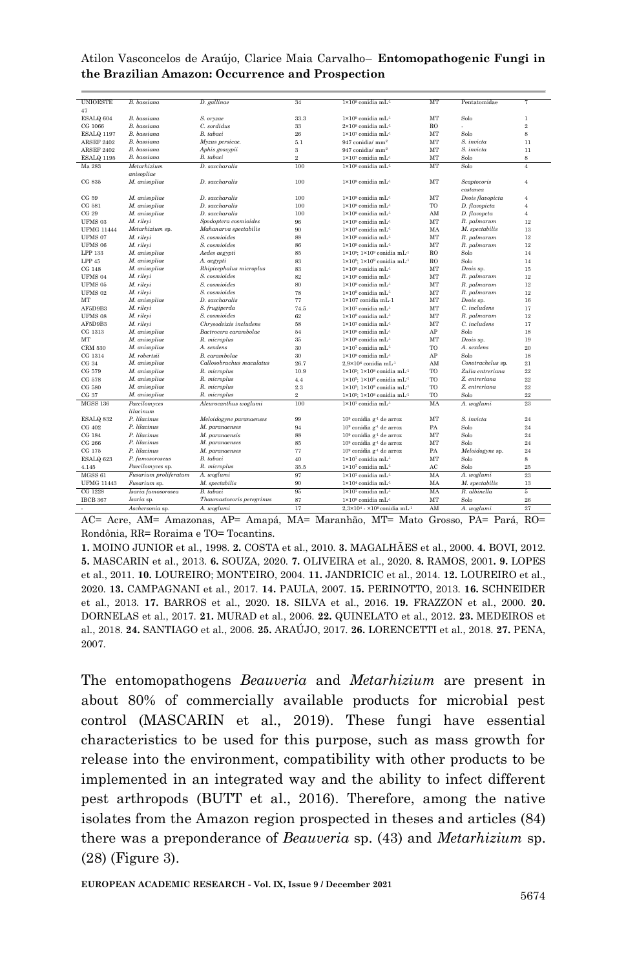| <b>UNIOESTE</b><br><b>B.</b> bassiana<br>D. gallinge<br>1×10 <sup>8</sup> conidia mL <sup>-1</sup><br>MT<br>7<br>34<br>Pentatomidae<br>47<br><b>B.</b> bassiana<br>S. orvzae<br>MT<br>ESALQ 604<br>33.3<br>$1 \times 10^9$ conidia mL <sup>1</sup><br>Solo<br>$\mathbf{1}$<br>$2\times10^8$ conidia mL <sup>-1</sup><br>$\overline{2}$<br>CG 1066<br><b>B.</b> bassiana<br>C. sordidus<br>33<br><b>RO</b><br>$1 \times 10^7$ conidia mL <sup>1</sup><br>$\mathbf{s}$<br><b>B.</b> bassiana<br>B. tabaci<br>26<br><b>MT</b><br>Solo<br>ESALQ 1197<br>S. invicta<br><b>B.</b> bassiana<br>Myzus persicae.<br>MT<br><b>ARSEF 2402</b><br>5.1<br>947 conidia/ mm <sup>2</sup><br>11<br>$\overline{\mathbf{3}}$<br>947 conidia/ mm <sup>2</sup><br>MT<br>S. invicta<br>11<br><b>ARSEF 2402</b><br><b>B.</b> bassiana<br>Aphis gossypii<br>$\overline{2}$<br>MT<br>8<br><b>B.</b> bassiana<br>B. tabaci<br>$1\times10^7$ conidia mL <sup>-1</sup><br>Solo<br><b>ESALO 1195</b><br>Ma 283<br>100<br>1×10 <sup>8</sup> conidia mL <sup>-1</sup><br>MT<br>Solo<br>$\overline{4}$<br>Metarhizium<br>D. saccharalis |
|----------------------------------------------------------------------------------------------------------------------------------------------------------------------------------------------------------------------------------------------------------------------------------------------------------------------------------------------------------------------------------------------------------------------------------------------------------------------------------------------------------------------------------------------------------------------------------------------------------------------------------------------------------------------------------------------------------------------------------------------------------------------------------------------------------------------------------------------------------------------------------------------------------------------------------------------------------------------------------------------------------------------------------------------------------------------------------------------------------|
|                                                                                                                                                                                                                                                                                                                                                                                                                                                                                                                                                                                                                                                                                                                                                                                                                                                                                                                                                                                                                                                                                                          |
|                                                                                                                                                                                                                                                                                                                                                                                                                                                                                                                                                                                                                                                                                                                                                                                                                                                                                                                                                                                                                                                                                                          |
|                                                                                                                                                                                                                                                                                                                                                                                                                                                                                                                                                                                                                                                                                                                                                                                                                                                                                                                                                                                                                                                                                                          |
|                                                                                                                                                                                                                                                                                                                                                                                                                                                                                                                                                                                                                                                                                                                                                                                                                                                                                                                                                                                                                                                                                                          |
|                                                                                                                                                                                                                                                                                                                                                                                                                                                                                                                                                                                                                                                                                                                                                                                                                                                                                                                                                                                                                                                                                                          |
|                                                                                                                                                                                                                                                                                                                                                                                                                                                                                                                                                                                                                                                                                                                                                                                                                                                                                                                                                                                                                                                                                                          |
|                                                                                                                                                                                                                                                                                                                                                                                                                                                                                                                                                                                                                                                                                                                                                                                                                                                                                                                                                                                                                                                                                                          |
|                                                                                                                                                                                                                                                                                                                                                                                                                                                                                                                                                                                                                                                                                                                                                                                                                                                                                                                                                                                                                                                                                                          |
|                                                                                                                                                                                                                                                                                                                                                                                                                                                                                                                                                                                                                                                                                                                                                                                                                                                                                                                                                                                                                                                                                                          |
| anisopliae                                                                                                                                                                                                                                                                                                                                                                                                                                                                                                                                                                                                                                                                                                                                                                                                                                                                                                                                                                                                                                                                                               |
| M. anisopliae<br>D. saccharalis<br>MT<br><b>Scaptocoris</b><br>CG 835<br>100<br>$1\times10^8$ conidia mL <sup>-1</sup><br>$\overline{4}$                                                                                                                                                                                                                                                                                                                                                                                                                                                                                                                                                                                                                                                                                                                                                                                                                                                                                                                                                                 |
| castanea                                                                                                                                                                                                                                                                                                                                                                                                                                                                                                                                                                                                                                                                                                                                                                                                                                                                                                                                                                                                                                                                                                 |
| M. anisopliae<br>D. saccharalis<br>CG 59<br>100<br>$1 \times 10^8$ conidia mL <sup>1</sup><br>MT<br>Deois flavopicta<br>$\overline{4}$                                                                                                                                                                                                                                                                                                                                                                                                                                                                                                                                                                                                                                                                                                                                                                                                                                                                                                                                                                   |
| 100<br>$1\times10^8$ conidia mL <sup>-1</sup><br>TO<br>CG 581<br>M. anisopliae<br>D. saccharalis<br>D. flavopicta<br>$\overline{4}$                                                                                                                                                                                                                                                                                                                                                                                                                                                                                                                                                                                                                                                                                                                                                                                                                                                                                                                                                                      |
| M. anisopliae<br>D. saccharalis<br>$1\times10^8$ conidia mL <sup>-1</sup><br>CG 29<br>100<br>AM<br>D. flavopcta<br>$\overline{4}$                                                                                                                                                                                                                                                                                                                                                                                                                                                                                                                                                                                                                                                                                                                                                                                                                                                                                                                                                                        |
| MT<br>M. rileyi<br>Spodoptera cosmioides<br>96<br>$1\times10^9$ conidia mL <sup>-1</sup><br>R. palmarum<br>12<br>UFMS <sub>03</sub>                                                                                                                                                                                                                                                                                                                                                                                                                                                                                                                                                                                                                                                                                                                                                                                                                                                                                                                                                                      |
| 13<br><b>UFMG 11444</b><br>Mahanarva spectabilis<br>90<br>$1\times10^{4}$ conidia mL <sup>-1</sup><br>MA<br>M. spectabilis<br>Metarhizium sp.                                                                                                                                                                                                                                                                                                                                                                                                                                                                                                                                                                                                                                                                                                                                                                                                                                                                                                                                                            |
| 12<br>88<br>1×10 <sup>9</sup> conidia mL-1<br>MT<br>UFMS 07<br>M. rilevi<br>S. cosmioides<br>R. palmarum                                                                                                                                                                                                                                                                                                                                                                                                                                                                                                                                                                                                                                                                                                                                                                                                                                                                                                                                                                                                 |
| 12<br>UFMS 06<br>M. rilevi<br>S. cosmioides<br>86<br>$1\times10^9$ conidia mL <sup>1</sup><br>MT<br>R. palmarum                                                                                                                                                                                                                                                                                                                                                                                                                                                                                                                                                                                                                                                                                                                                                                                                                                                                                                                                                                                          |
| <b>LPP 133</b><br>M. anisopliae<br>Aedes aegypti<br>85<br>$1\times10^8$ : $1\times10^9$ conidia mL <sup>1</sup><br>14<br><b>RO</b><br>Solo                                                                                                                                                                                                                                                                                                                                                                                                                                                                                                                                                                                                                                                                                                                                                                                                                                                                                                                                                               |
| LPP <sub>45</sub><br>M. anisopliae<br><b>RO</b><br>A. aegypti<br>83<br>$1\times10^8$ : $1\times10^9$ conidia mL <sup>1</sup><br>Solo<br>14                                                                                                                                                                                                                                                                                                                                                                                                                                                                                                                                                                                                                                                                                                                                                                                                                                                                                                                                                               |
| M. anisopliae<br>Rhipicephalus microplus<br>MT<br>Deois sp.<br>CG 148<br>83<br>$1\times10^8$ conidia mL <sup>-1</sup><br>15                                                                                                                                                                                                                                                                                                                                                                                                                                                                                                                                                                                                                                                                                                                                                                                                                                                                                                                                                                              |
| M. rileyi<br>S. cosmioides<br>82<br>MT<br>R. palmarum<br>12<br>UFMS 04<br>$1\times10^9$ conidia mL <sup>-1</sup>                                                                                                                                                                                                                                                                                                                                                                                                                                                                                                                                                                                                                                                                                                                                                                                                                                                                                                                                                                                         |
| S. cosmioides<br>M. rileyi<br>R. palmarum<br>UFMS 05<br>80<br>$1\times10^9$ conidia mL <sup>-1</sup><br>MT<br>12                                                                                                                                                                                                                                                                                                                                                                                                                                                                                                                                                                                                                                                                                                                                                                                                                                                                                                                                                                                         |
| S. cosmioides<br>M. rileyi<br>78<br>$1\times10^9$ conidia mL <sup>-1</sup><br>MT<br>R. palmarum<br>12<br>UFMS <sub>02</sub>                                                                                                                                                                                                                                                                                                                                                                                                                                                                                                                                                                                                                                                                                                                                                                                                                                                                                                                                                                              |
| D. saccharalis<br>77<br>1×107 conidia mL-1<br>MT<br>16<br>MT<br>M. anisopliae<br>Deois sp.                                                                                                                                                                                                                                                                                                                                                                                                                                                                                                                                                                                                                                                                                                                                                                                                                                                                                                                                                                                                               |
| 17<br>AF5D9B3<br>M. rilevi<br>S. frugiperda<br>74.5<br>$1\times10^7$ conidia mL <sup>-1</sup><br>MT<br>C. includens                                                                                                                                                                                                                                                                                                                                                                                                                                                                                                                                                                                                                                                                                                                                                                                                                                                                                                                                                                                      |
| M. rileyi<br>R. palmarum<br>UFMS 08<br>S. cosmioides<br>62<br>$1\times10^9$ conidia mL <sup>-1</sup><br>MT<br>12                                                                                                                                                                                                                                                                                                                                                                                                                                                                                                                                                                                                                                                                                                                                                                                                                                                                                                                                                                                         |
| C. includens<br>M. rileyi<br>Chrysodeixis includens<br>$1\times10^7$ conidia mL <sup>-1</sup><br>AF5D9B3<br>58<br>MT<br>17                                                                                                                                                                                                                                                                                                                                                                                                                                                                                                                                                                                                                                                                                                                                                                                                                                                                                                                                                                               |
| CG 1313<br>$1\times10^8$ conidia mL <sup>-1</sup><br>AP<br>Solo<br>18<br>M. anisopliae<br>Bactrocera carambolae<br>54                                                                                                                                                                                                                                                                                                                                                                                                                                                                                                                                                                                                                                                                                                                                                                                                                                                                                                                                                                                    |
| M. anisopliae<br>R. microplus<br>35<br>Deois sp.<br>19<br>MT<br>$1\times10^8$ conidia mL <sup>-1</sup><br>MT                                                                                                                                                                                                                                                                                                                                                                                                                                                                                                                                                                                                                                                                                                                                                                                                                                                                                                                                                                                             |
| A. sexdens<br>TO<br>A. sexdens<br>M. anisopliae<br>30<br>$1\times10^7$ conidia mL <sup>-1</sup><br>20<br><b>CRM 530</b>                                                                                                                                                                                                                                                                                                                                                                                                                                                                                                                                                                                                                                                                                                                                                                                                                                                                                                                                                                                  |
| B. carambolae<br>M. robertsii<br>30<br>$1\times10^8$ conidia mL <sup>-1</sup><br>AP<br>18<br>CG 1314<br>Solo                                                                                                                                                                                                                                                                                                                                                                                                                                                                                                                                                                                                                                                                                                                                                                                                                                                                                                                                                                                             |
| 26.7<br>AM<br>21<br>CG 34<br>Callosobruchus maculatus<br>$2.9\times10^{8}$ conidia mL <sup>1</sup><br>Conotrachelus sp.<br>M. anisopliae                                                                                                                                                                                                                                                                                                                                                                                                                                                                                                                                                                                                                                                                                                                                                                                                                                                                                                                                                                 |
| $1\times10^{5}$ : $1\times10^{8}$ conidia mL <sup>1</sup><br>TO<br>22<br>CG 579<br>R. microplus<br>10.9<br>Zulia entreriana<br>M. anisopliae                                                                                                                                                                                                                                                                                                                                                                                                                                                                                                                                                                                                                                                                                                                                                                                                                                                                                                                                                             |
| Z. entreriana<br>9.9.<br>CG 578<br>M. anisopliae<br>R. microplus<br>$1\times10^{5}$ : $1\times10^{8}$ conidia mL <sup>1</sup><br>TO<br>4.4                                                                                                                                                                                                                                                                                                                                                                                                                                                                                                                                                                                                                                                                                                                                                                                                                                                                                                                                                               |
| 22<br>CG 580<br>2.3<br>$1\times10^5$ ; $1\times10^8$ conidia mL <sup>1</sup><br>TO<br>Z. entreriana<br>M. anisopliae<br>R. microplus                                                                                                                                                                                                                                                                                                                                                                                                                                                                                                                                                                                                                                                                                                                                                                                                                                                                                                                                                                     |
| $\overline{2}$<br>22<br>TO<br>CG 37<br>M. anisopliae<br>$1\times10^5$ : $1\times10^8$ conidia mL <sup>1</sup><br>Solo<br>R. microplus                                                                                                                                                                                                                                                                                                                                                                                                                                                                                                                                                                                                                                                                                                                                                                                                                                                                                                                                                                    |
| 100<br>MA<br>23<br><b>MGSS 136</b><br>Paecilomyces<br>$1\times10^7$ conidia mL <sup>1</sup><br>A. woglumi<br>Aleurocanthus woglumi                                                                                                                                                                                                                                                                                                                                                                                                                                                                                                                                                                                                                                                                                                                                                                                                                                                                                                                                                                       |
| lilacinum                                                                                                                                                                                                                                                                                                                                                                                                                                                                                                                                                                                                                                                                                                                                                                                                                                                                                                                                                                                                                                                                                                |
| P. lilacinus<br>S. invicta<br>Meloidogyne paranaenses<br>99<br>$10^9$ conidia g <sup>-1</sup> de arroz<br>MT<br>24<br>ESALQ 832                                                                                                                                                                                                                                                                                                                                                                                                                                                                                                                                                                                                                                                                                                                                                                                                                                                                                                                                                                          |
| P. lilacinus<br>Solo<br>CG 402<br>M. paranaenses<br>94<br>$10^9$ conidia $g^{-1}$ de arroz<br>PA<br>24                                                                                                                                                                                                                                                                                                                                                                                                                                                                                                                                                                                                                                                                                                                                                                                                                                                                                                                                                                                                   |
| P. lilacinus<br>CG 184<br>M. paranaensis<br>88<br>MT<br>24<br>$10^9$ conidia g <sup>-1</sup> de arroz<br>Solo                                                                                                                                                                                                                                                                                                                                                                                                                                                                                                                                                                                                                                                                                                                                                                                                                                                                                                                                                                                            |
| P. lilacinus<br>CG 266<br>M. paranaenses<br>85<br>MT<br>24<br>$10^9$ conidia $g^{-1}$ de arroz<br>Solo                                                                                                                                                                                                                                                                                                                                                                                                                                                                                                                                                                                                                                                                                                                                                                                                                                                                                                                                                                                                   |
| P. lilacinus<br>Meloidogyne sp.<br>CG 175<br>M. paranaenses<br>77<br>PA<br>24<br>$10^9$ conidia g <sup>-1</sup> de arroz                                                                                                                                                                                                                                                                                                                                                                                                                                                                                                                                                                                                                                                                                                                                                                                                                                                                                                                                                                                 |
| P. fumosoroseus<br>B. tabaci<br>$\bf{s}$<br>ESALQ 623<br>40<br>$1\times10^7$ conidia mL <sup>-1</sup><br>MT<br>Solo                                                                                                                                                                                                                                                                                                                                                                                                                                                                                                                                                                                                                                                                                                                                                                                                                                                                                                                                                                                      |
| 35.5<br>$1\times10^7$ conidia mL <sup>-1</sup><br>AC<br>Solo<br>25<br>Paecilomyces sp.<br>R. microplus<br>4.145                                                                                                                                                                                                                                                                                                                                                                                                                                                                                                                                                                                                                                                                                                                                                                                                                                                                                                                                                                                          |
| 97<br>MGSS <sub>61</sub><br>A. woglumi<br>$1\times10^7$ conidia mL <sup>1</sup><br>MA<br>A. woglumi<br>23<br>Fusarium proliferatum                                                                                                                                                                                                                                                                                                                                                                                                                                                                                                                                                                                                                                                                                                                                                                                                                                                                                                                                                                       |
| 90<br><b>UFMG 11443</b><br>$1\times10^{4}$ conidia mL <sup>-1</sup><br>MA<br>M. spectabilis<br>13<br>Fusarium sp.<br>M. spectabilis                                                                                                                                                                                                                                                                                                                                                                                                                                                                                                                                                                                                                                                                                                                                                                                                                                                                                                                                                                      |
| 1×107 conidia mL-1<br>CG 1228<br>95<br>MA<br>R. albinella<br>5<br>B. tabaci<br>Isaria fumosorosea                                                                                                                                                                                                                                                                                                                                                                                                                                                                                                                                                                                                                                                                                                                                                                                                                                                                                                                                                                                                        |
| <b>IBCB 367</b><br>87<br>$1\times10^8$ conidia mL <sup>-1</sup><br>MT<br>Solo<br>26<br>Isaria sp.<br>Thaumastocoris peregrinus                                                                                                                                                                                                                                                                                                                                                                                                                                                                                                                                                                                                                                                                                                                                                                                                                                                                                                                                                                           |
| 27<br>17<br>AM<br>$2.3\times10^{4}$ - $\times10^{8}$ conidia mL <sup>1</sup><br>A. woglumi<br>Aschersonia sp.<br>A. woglumi                                                                                                                                                                                                                                                                                                                                                                                                                                                                                                                                                                                                                                                                                                                                                                                                                                                                                                                                                                              |

Atilon Vasconcelos de Araújo, Clarice Maia Carvalho– **Entomopathogenic Fungi in the Brazilian Amazon: Occurrence and Prospection**

AC= Acre, AM= Amazonas, AP= Amapá, MA= Maranhão, MT= Mato Grosso, PA= Pará, RO= Rondônia, RR= Roraima e TO= Tocantins.

**1.** MOINO JUNIOR et al., 1998. **2.** COSTA et al., 2010. **3.** MAGALHÃES et al., 2000. **4.** BOVI, 2012. **5.** MASCARIN et al., 2013. **6.** SOUZA, 2020. **7.** OLIVEIRA et al., 2020. **8.** RAMOS, 2001**. 9.** LOPES et al., 2011. **10.** LOUREIRO; MONTEIRO, 2004. **11.** JANDRICIC et al., 2014. **12.** LOUREIRO et al., 2020. **13.** CAMPAGNANI et al., 2017. **14.** PAULA, 2007. **15.** PERINOTTO, 2013. **16.** SCHNEIDER et al., 2013. **17.** BARROS et al., 2020. **18.** SILVA et al., 2016. **19.** FRAZZON et al., 2000. **20.** DORNELAS et al., 2017. **21.** MURAD et al., 2006. **22.** QUINELATO et al., 2012. **23.** MEDEIROS et al., 2018. **24.** SANTIAGO et al., 2006. **25.** ARAÚJO, 2017. **26.** LORENCETTI et al., 2018. **27.** PENA, 2007.

The entomopathogens *Beauveria* and *Metarhizium* are present in about 80% of commercially available products for microbial pest control (MASCARIN et al., 2019). These fungi have essential characteristics to be used for this purpose, such as mass growth for release into the environment, compatibility with other products to be implemented in an integrated way and the ability to infect different pest arthropods (BUTT et al., 2016). Therefore, among the native isolates from the Amazon region prospected in theses and articles (84) there was a preponderance of *Beauveria* sp. (43) and *Metarhizium* sp. (28) (Figure 3).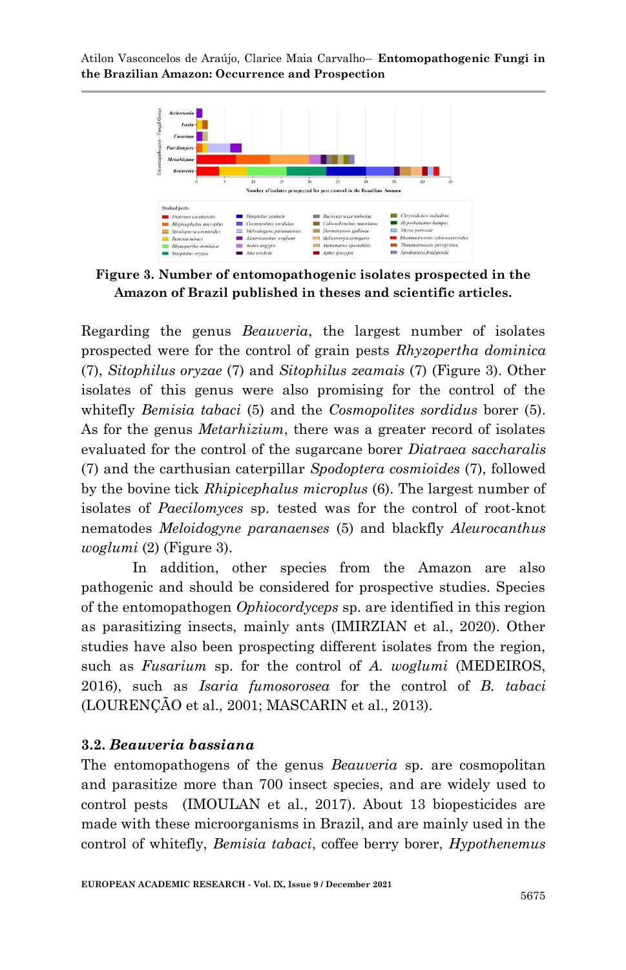

**Figure 3. Number of entomopathogenic isolates prospected in the Amazon of Brazil published in theses and scientific articles.**

Regarding the genus *Beauveria*, the largest number of isolates prospected were for the control of grain pests *Rhyzopertha dominica* (7), *Sitophilus oryzae* (7) and *Sitophilus zeamais* (7) (Figure 3). Other isolates of this genus were also promising for the control of the whitefly *Bemisia tabaci* (5) and the *Cosmopolites sordidus* borer (5). As for the genus *Metarhizium*, there was a greater record of isolates evaluated for the control of the sugarcane borer *Diatraea saccharalis* (7) and the carthusian caterpillar *Spodoptera cosmioides* (7), followed by the bovine tick *Rhipicephalus microplus* (6). The largest number of isolates of *Paecilomyces* sp. tested was for the control of root-knot nematodes *Meloidogyne paranaenses* (5) and blackfly *Aleurocanthus woglumi* (2) (Figure 3).

In addition, other species from the Amazon are also pathogenic and should be considered for prospective studies. Species of the entomopathogen *Ophiocordyceps* sp. are identified in this region as parasitizing insects, mainly ants (IMIRZIAN et al., 2020). Other studies have also been prospecting different isolates from the region, such as *Fusarium* sp. for the control of *A. woglumi* (MEDEIROS, 2016), such as *Isaria fumosorosea* for the control of *B. tabaci* (LOURENÇÃO et al., 2001; MASCARIN et al., 2013).

### **3.2.** *Beauveria bassiana*

The entomopathogens of the genus *Beauveria* sp. are cosmopolitan and parasitize more than 700 insect species, and are widely used to control pests (IMOULAN et al., 2017). About 13 biopesticides are made with these microorganisms in Brazil, and are mainly used in the control of whitefly, *Bemisia tabaci*, coffee berry borer, *Hypothenemus*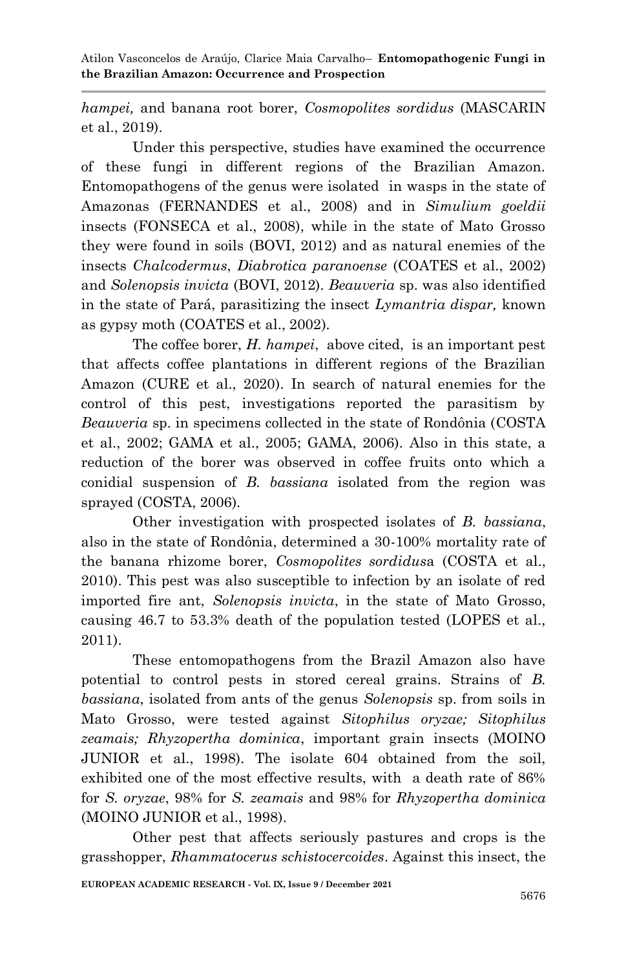*hampei,* and banana root borer, *Cosmopolites sordidus* (MASCARIN et al., 2019).

Under this perspective, studies have examined the occurrence of these fungi in different regions of the Brazilian Amazon. Entomopathogens of the genus were isolated in wasps in the state of Amazonas (FERNANDES et al., 2008) and in *Simulium goeldii* insects (FONSECA et al., 2008), while in the state of Mato Grosso they were found in soils (BOVI, 2012) and as natural enemies of the insects *Chalcodermus*, *Diabrotica paranoense* (COATES et al., 2002) and *Solenopsis invicta* (BOVI, 2012). *Beauveria* sp. was also identified in the state of Pará, parasitizing the insect *Lymantria dispar,* known as gypsy moth [\(COATES et al., 2002\)](#page-18-4).

The coffee borer, *H. hampei*, above cited, is an important pest that affects coffee plantations in different regions of the Brazilian Amazon [\(CURE et al., 2020\)](#page-19-3). In search of natural enemies for the control of this pest, investigations reported the parasitism by *Beauveria* sp. in specimens collected in the state of Rondônia [\(COSTA](#page-19-4)  [et al., 2002;](#page-19-4) [GAMA et al., 2005;](#page-19-5) [GAMA, 2006\)](#page-19-6). Also in this state, a reduction of the borer was observed in coffee fruits onto which a conidial suspension of *B. bassiana* isolated from the region was sprayed [\(COSTA, 2006\)](#page-19-7).

Other investigation with prospected isolates of *B. bassiana*, also in the state of Rondônia, determined a 30-100% mortality rate of the banana rhizome borer, *Cosmopolites sordidus*a [\(COSTA et al.,](#page-18-5)  [2010\)](#page-18-5). This pest was also susceptible to infection by an isolate of red imported fire ant, *Solenopsis invicta*, in the state of Mato Grosso, causing 46.7 to 53.3% death of the population tested [\(LOPES et al.,](#page-20-5)  [2011\)](#page-20-5).

These entomopathogens from the Brazil Amazon also have potential to control pests in stored cereal grains. Strains of *B. bassiana*, isolated from ants of the genus *Solenopsis* sp. from soils in Mato Grosso, were tested against *Sitophilus oryzae; Sitophilus zeamais; Rhyzopertha dominica*, important grain insects [\(MOINO](#page-21-7)  [JUNIOR et al., 1998\)](#page-21-7). The isolate 604 obtained from the soil, exhibited one of the most effective results, with a death rate of 86% for *S. oryzae*, 98% for *S. zeamais* and 98% for *Rhyzopertha dominica*  [\(MOINO JUNIOR et al., 1998\)](#page-21-7).

Other pest that affects seriously pastures and crops is the grasshopper, *Rhammatocerus schistocercoides*. Against this insect, the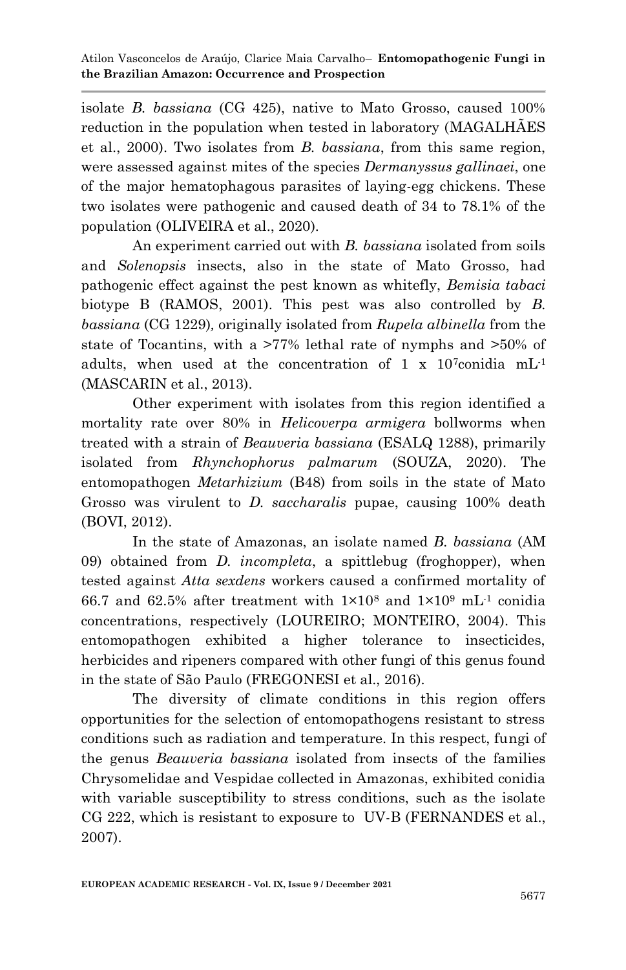isolate *B. bassiana* (CG 425), native to Mato Grosso, caused 100% reduction in the population when tested in laboratory [\(MAGALHÃES](#page-21-8)  [et al., 2000\)](#page-21-8). Two isolates from *B. bassiana*, from this same region, were assessed against mites of the species *Dermanyssus gallinaei*, one of the major hematophagous parasites of laying-egg chickens. These two isolates were pathogenic and caused death of 34 to 78.1% of the population [\(OLIVEIRA et al., 2020\)](#page-21-6).

An experiment carried out with *B. bassiana* isolated from soils and *Solenopsis* insects, also in the state of Mato Grosso, had pathogenic effect against the pest known as whitefly, *Bemisia tabaci*  biotype B [\(RAMOS, 2001\)](#page-22-6). This pest was also controlled by *B. bassiana* (CG 1229)*,* originally isolated from *Rupela albinella* from the state of Tocantins, with a >77% lethal rate of nymphs and >50% of adults, when used at the concentration of 1 x  $10^7$ conidia mL<sup>-1</sup> [\(MASCARIN et al., 2013\)](#page-21-9).

Other experiment with isolates from this region identified a mortality rate over 80% in *Helicoverpa armigera* bollworms when treated with a strain of *Beauveria bassiana* (ESALQ 1288), primarily isolated from *Rhynchophorus palmarum* [\(SOUZA, 2020\)](#page-22-7). The entomopathogen *Metarhizium* (B48) from soils in the state of Mato Grosso was virulent to *D. saccharalis* pupae, causing 100% death [\(BOVI, 2012\)](#page-18-6).

In the state of Amazonas, an isolate named *B. bassiana* (AM 09) obtained from *D. incompleta*, a spittlebug (froghopper), when tested against *Atta sexdens* workers caused a confirmed mortality of 66.7 and 62.5% after treatment with  $1\times10^8$  and  $1\times10^9$  mL<sup>-1</sup> conidia concentrations, respectively [\(LOUREIRO; MONTEIRO, 2004\)](#page-20-6). This entomopathogen exhibited a higher tolerance to insecticides, herbicides and ripeners compared with other fungi of this genus found in the state of São Paulo [\(FREGONESI et al., 2016\)](#page-19-8).

The diversity of climate conditions in this region offers opportunities for the selection of entomopathogens resistant to stress conditions such as radiation and temperature. In this respect, fungi of the genus *Beauveria bassiana* isolated from insects of the families Chrysomelidae and Vespidae collected in Amazonas, exhibited conidia with variable susceptibility to stress conditions, such as the isolate CG 222, which is resistant to exposure to UV-B [\(FERNANDES et al.,](#page-19-9)  [2007\)](#page-19-9).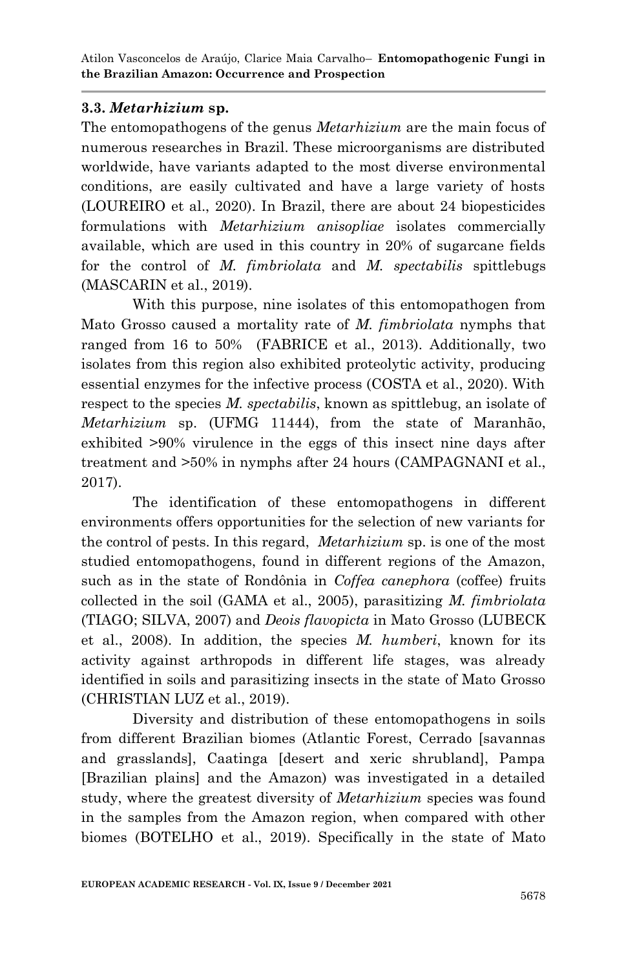### **3.3.** *Metarhizium* **sp.**

The entomopathogens of the genus *Metarhizium* are the main focus of numerous researches in Brazil. These microorganisms are distributed worldwide, have variants adapted to the most diverse environmental conditions, are easily cultivated and have a large variety of hosts [\(LOUREIRO et al., 2020\)](#page-20-7). In Brazil, there are about 24 biopesticides formulations with *Metarhizium anisopliae* isolates commercially available, which are used in this country in 20% of sugarcane fields for the control of *M. fimbriolata* and *M. spectabilis* spittlebugs [\(MASCARIN et al., 2019\)](#page-21-5).

With this purpose, nine isolates of this entomopathogen from Mato Grosso caused a mortality rate of *M. fimbriolata* nymphs that ranged from 16 to 50% [\(FABRICE et al., 2013\)](#page-19-10). Additionally, two isolates from this region also exhibited proteolytic activity, producing essential enzymes for the infective process (COSTA et al., 2020). With respect to the species *M. spectabilis*, known as spittlebug, an isolate of *Metarhizium* sp. (UFMG 11444), from the state of Maranhão, exhibited >90% virulence in the eggs of this insect nine days after treatment and >50% in nymphs after 24 hours [\(CAMPAGNANI et al.,](#page-18-7)  [2017\)](#page-18-7).

The identification of these entomopathogens in different environments offers opportunities for the selection of new variants for the control of pests. In this regard, *Metarhizium* sp. is one of the most studied entomopathogens, found in different regions of the Amazon, such as in the state of Rondônia in *Coffea canephora* (coffee) fruits collected in the soil [\(GAMA et al., 2005\)](#page-19-5), parasitizing *M. fimbriolata* [\(TIAGO; SILVA, 2007\)](#page-23-3) and *Deois flavopicta* in Mato Grosso [\(LUBECK](#page-20-8)  [et al., 2008\)](#page-20-8). In addition, the species *M. humberi*, known for its activity against arthropods in different life stages, was already identified in soils and parasitizing insects in the state of Mato Grosso [\(CHRISTIAN LUZ et al., 2019\)](#page-18-2).

Diversity and distribution of these entomopathogens in soils from different Brazilian biomes (Atlantic Forest, Cerrado [savannas and grasslands], Caatinga [desert and xeric shrubland], Pampa [Brazilian plains] and the Amazon) was investigated in a detailed study, where the greatest diversity of *Metarhizium* species was found in the samples from the Amazon region, when compared with other biomes [\(BOTELHO et al., 2019\)](#page-18-8). Specifically in the state of Mato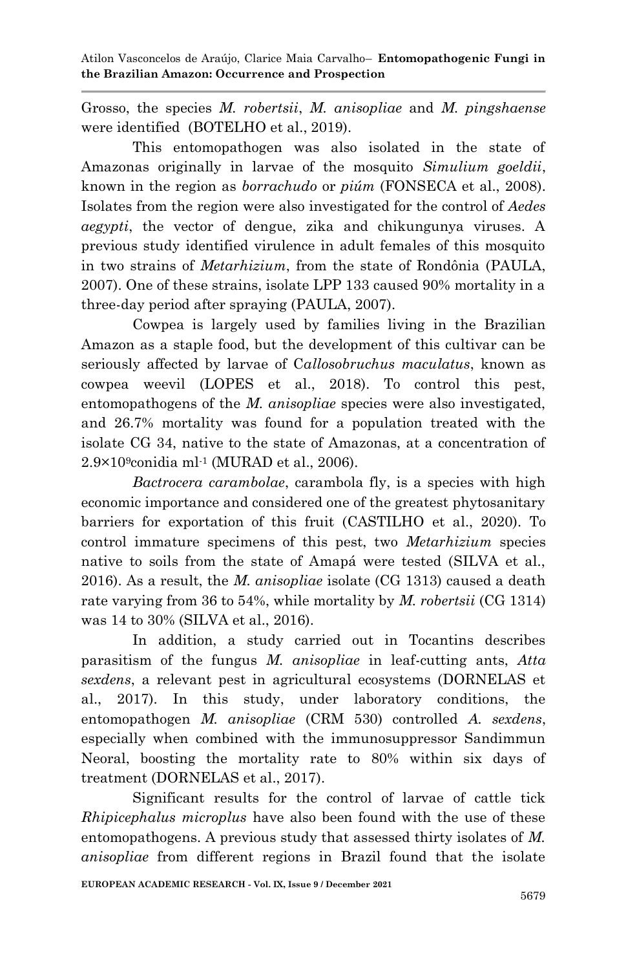Grosso, the species *M. robertsii*, *M. anisopliae* and *M. pingshaense* were identified [\(BOTELHO et al., 2019\)](#page-18-8).

This entomopathogen was also isolated in the state of Amazonas originally in larvae of the mosquito *Simulium goeldii*, known in the region as *borrachudo* or *piúm* [\(FONSECA et al., 2008\)](#page-19-11). Isolates from the region were also investigated for the control of *Aedes aegypti*, the vector of dengue, zika and chikungunya viruses. A previous study identified virulence in adult females of this mosquito in two strains of *Metarhizium*, from the state of Rondônia [\(PAULA,](#page-21-10)  [2007\)](#page-21-10). One of these strains, isolate LPP 133 caused 90% mortality in a three-day period after spraying [\(PAULA, 2007\)](#page-21-10).

Cowpea is largely used by families living in the Brazilian Amazon as a staple food, but the development of this cultivar can be seriously affected by larvae of C*allosobruchus maculatus*, known as cowpea weevil [\(LOPES et al., 2018\)](#page-20-9). To control this pest, entomopathogens of the *M. anisopliae* species were also investigated, and 26.7% mortality was found for a population treated with the isolate CG 34, native to the state of Amazonas, at a concentration of  $2.9\times10^9$ conidia ml<sup>-1</sup> [\(MURAD et al., 2006\)](#page-21-11).

*Bactrocera carambolae*, carambola fly, is a species with high economic importance and considered one of the greatest phytosanitary barriers for exportation of this fruit [\(CASTILHO et al., 2020\)](#page-18-9). To control immature specimens of this pest, two *Metarhizium* species native to soils from the state of Amapá were tested [\(SILVA et al.,](#page-22-8)  [2016\)](#page-22-8). As a result, the *M. anisopliae* isolate (CG 1313) caused a death rate varying from 36 to 54%, while mortality by *M. robertsii* (CG 1314) was 14 to 30% [\(SILVA et al., 2016\)](#page-22-8).

In addition, a study carried out in Tocantins describes parasitism of the fungus *M. anisopliae* in leaf-cutting ants, *Atta sexdens*, a relevant pest in agricultural ecosystems [\(DORNELAS et](#page-19-12)  [al., 2017\)](#page-19-12). In this study, under laboratory conditions, the entomopathogen *M. anisopliae* (CRM 530) controlled *A. sexdens*, especially when combined with the immunosuppressor Sandimmun Neoral, boosting the mortality rate to 80% within six days of treatment [\(DORNELAS et al., 2017\)](#page-19-12).

Significant results for the control of larvae of cattle tick *Rhipicephalus microplus* have also been found with the use of these entomopathogens. A previous study that assessed thirty isolates of *M. anisopliae* from different regions in Brazil found that the isolate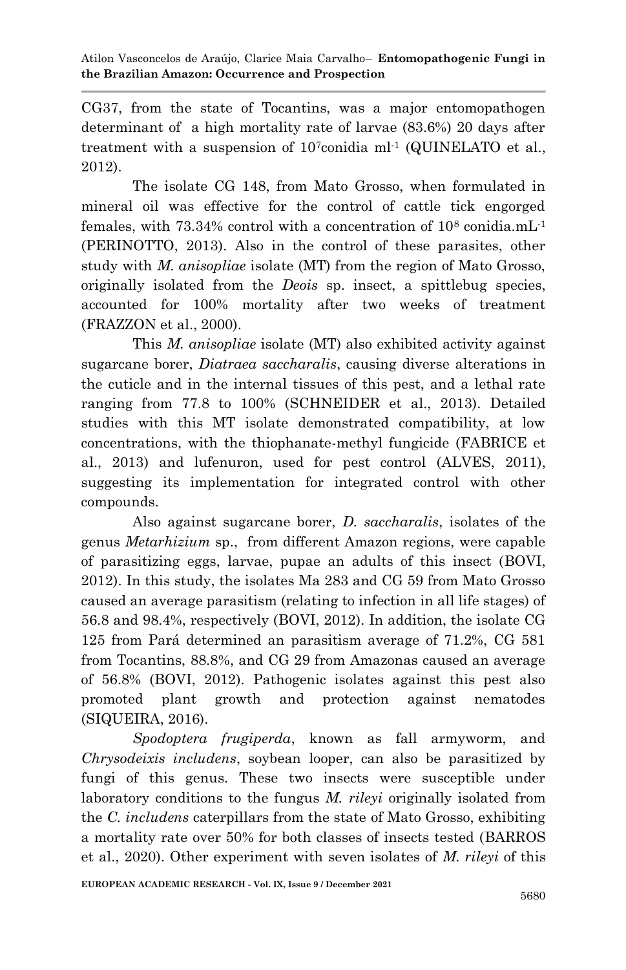CG37, from the state of Tocantins, was a major entomopathogen determinant of a high mortality rate of larvae (83.6%) 20 days after treatment with a suspension of  $10^7$ conidia ml<sup>-1</sup> [\(QUINELATO et](#page-22-9) al., [2012\)](#page-22-9).

The isolate CG 148, from Mato Grosso, when formulated in mineral oil was effective for the control of cattle tick engorged females, with  $73.34\%$  control with a concentration of  $10^8$  conidia.mL<sup>1</sup> [\(PERINOTTO, 2013\)](#page-22-10). Also in the control of these parasites, other study with *M. anisopliae* isolate (MT) from the region of Mato Grosso, originally isolated from the *Deois* sp. insect, a spittlebug species, accounted for 100% mortality after two weeks of treatment [\(FRAZZON et al., 2000\)](#page-19-13).

This *M. anisopliae* isolate (MT) also exhibited activity against sugarcane borer, *Diatraea saccharalis*, causing diverse alterations in the cuticle and in the internal tissues of this pest, and a lethal rate ranging from 77.8 to 100% [\(SCHNEIDER et al., 2013\)](#page-22-11). Detailed studies with this MT isolate demonstrated compatibility, at low concentrations, with the thiophanate-methyl fungicide [\(FABRICE et](#page-19-10)  [al., 2013\)](#page-19-10) and lufenuron, used for pest control [\(ALVES, 2011\)](#page-18-10), suggesting its implementation for integrated control with other compounds.

Also against sugarcane borer, *D. saccharalis*, isolates of the genus *Metarhizium* sp., from different Amazon regions, were capable of parasitizing eggs, larvae, pupae an adults of this insect [\(BOVI,](#page-18-6) [2012\)](#page-18-6). In this study, the isolates Ma 283 and CG 59 from Mato Grosso caused an average parasitism (relating to infection in all life stages) of 56.8 and 98.4%, respectively [\(BOVI, 2012\)](#page-18-6). In addition, the isolate CG 125 from Pará determined an parasitism average of 71.2%, CG 581 from Tocantins, 88.8%, and CG 29 from Amazonas caused an average of 56.8% [\(BOVI, 2012\)](#page-18-6). Pathogenic isolates against this pest also promoted plant growth and protection against nematodes (SIQUEIRA, 2016).

*Spodoptera frugiperda*, known as fall armyworm, and *Chrysodeixis includens*, soybean looper, can also be parasitized by fungi of this genus. These two insects were susceptible under laboratory conditions to the fungus *M. rileyi* originally isolated from the *C. includens* caterpillars from the state of Mato Grosso, exhibiting a mortality rate over 50% for both classes of insects tested [\(BARROS](#page-18-3)  [et al., 2020\)](#page-18-3). Other experiment with seven isolates of *M. rileyi* of this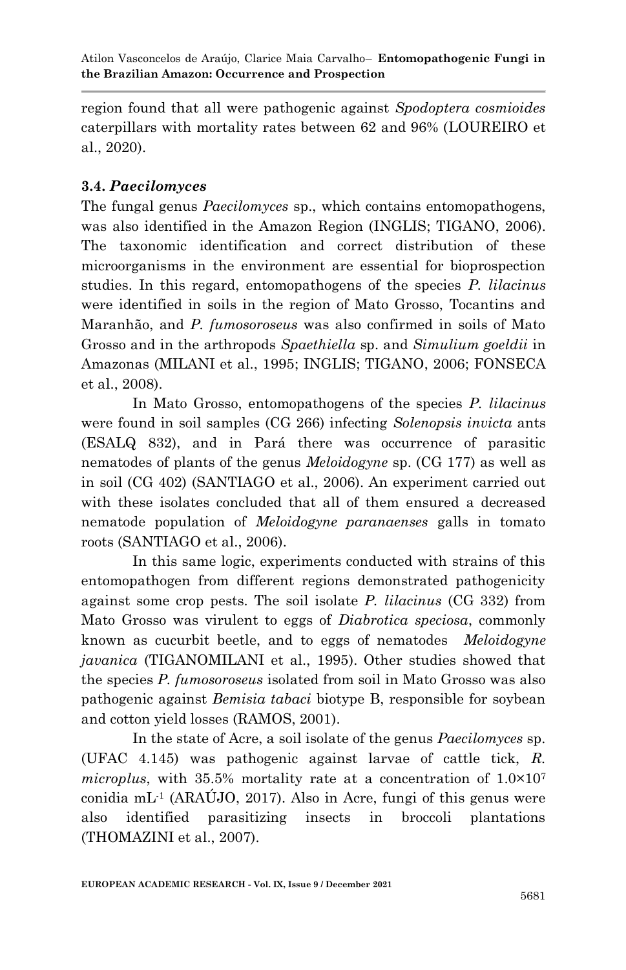region found that all were pathogenic against *Spodoptera cosmioides*  caterpillars with mortality rates between 62 and 96% [\(LOUREIRO et](#page-20-7)  [al., 2020\)](#page-20-7).

## **3.4.** *Paecilomyces*

The fungal genus *Paecilomyces* sp., which contains entomopathogens, was also identified in the Amazon Region [\(INGLIS; TIGANO, 2006\)](#page-20-10). The taxonomic identification and correct distribution of these microorganisms in the environment are essential for bioprospection studies. In this regard, entomopathogens of the species *P. lilacinus* were identified in soils in the region of Mato Grosso, Tocantins and Maranhão, and *P. fumosoroseus* was also confirmed in soils of Mato Grosso and in the arthropods *Spaethiella* sp. and *Simulium goeldii* in Amazonas [\(MILANI et al., 1995;](#page-21-12) [INGLIS; TIGANO, 2006;](#page-20-10) [FONSECA](#page-19-11)  [et al., 2008\)](#page-19-11).

In Mato Grosso, entomopathogens of the species *P. lilacinus* were found in soil samples (CG 266) infecting *Solenopsis invicta* ants (ESALQ 832), and in Pará there was occurrence of parasitic nematodes of plants of the genus *Meloidogyne* sp. (CG 177) as well as in soil (CG 402) [\(SANTIAGO et al., 2006\)](#page-22-12). An experiment carried out with these isolates concluded that all of them ensured a decreased nematode population of *Meloidogyne paranaenses* galls in tomato roots [\(SANTIAGO et al., 2006\)](#page-22-12).

In this same logic, experiments conducted with strains of this entomopathogen from different regions demonstrated pathogenicity against some crop pests. The soil isolate *P. lilacinus* (CG 332) from Mato Grosso was virulent to eggs of *Diabrotica speciosa*, commonly known as cucurbit beetle, and to eggs of nematodes *Meloidogyne javanica* [\(TIGANOMILANI et al., 1995\)](#page-23-4). Other studies showed that the species *P. fumosoroseus* isolated from soil in Mato Grosso was also pathogenic against *Bemisia tabaci* biotype B, responsible for soybean and cotton yield losses [\(RAMOS, 2001\)](#page-22-6).

In the state of Acre, a soil isolate of the genus *Paecilomyces* sp. (UFAC 4.145) was pathogenic against larvae of cattle tick, *R. microplus*, with 35.5% mortality rate at a concentration of  $1.0 \times 10^7$ conidia mL<sup>-1</sup> [\(ARAÚJO, 2017\)](#page-18-11). Also in Acre, fungi of this genus were also identified parasitizing insects in broccoli plantations [\(THOMAZINI et al., 2007\)](#page-23-5).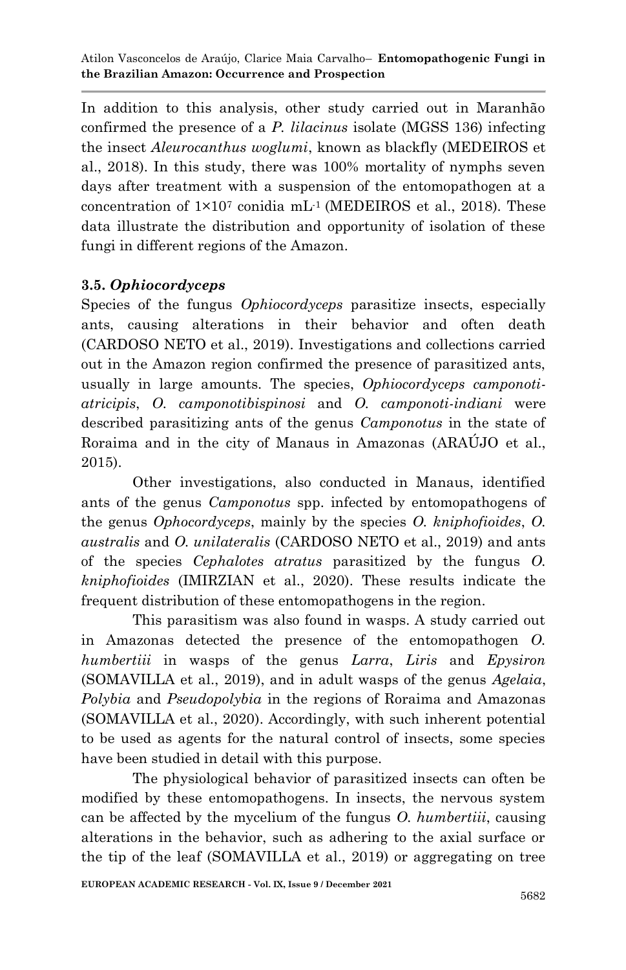In addition to this analysis, other study carried out in Maranhão confirmed the presence of a *P. lilacinus* isolate (MGSS 136) infecting the insect *Aleurocanthus woglumi*, known as blackfly [\(MEDEIROS et](#page-21-13)  [al., 2018\)](#page-21-13). In this study, there was 100% mortality of nymphs seven days after treatment with a suspension of the entomopathogen at a concentration of  $1 \times 10^7$  conidia mL<sup>-1</sup> [\(MEDEIROS et](#page-21-13) al., 2018). These data illustrate the distribution and opportunity of isolation of these fungi in different regions of the Amazon.

## **3.5.** *Ophiocordyceps*

Species of the fungus *Ophiocordyceps* parasitize insects, especially ants, causing alterations in their behavior and often death [\(CARDOSO NETO et al., 2019\)](#page-18-12). Investigations and collections carried out in the Amazon region confirmed the presence of parasitized ants, usually in large amounts. The species, *Ophiocordyceps camponotiatricipis*, *O. camponotibispinosi* and *O. camponoti-indiani* were described parasitizing ants of the genus *Camponotus* in the state of Roraima and in the city of Manaus in Amazonas [\(ARAÚJO et al.,](#page-18-13)  [2015\)](#page-18-13).

Other investigations, also conducted in Manaus, identified ants of the genus *Camponotus* spp. infected by entomopathogens of the genus *Ophocordyceps*, mainly by the species *O. kniphofioides*, *O. australis* and *O. unilateralis* [\(CARDOSO NETO et al., 2019\)](#page-18-12) and ants of the species *Cephalotes atratus* parasitized by the fungus *O. kniphofioides* [\(IMIRZIAN et al., 2020\)](#page-20-11). These results indicate the frequent distribution of these entomopathogens in the region.

This parasitism was also found in wasps. A study carried out in Amazonas detected the presence of the entomopathogen *O. humbertiii* in wasps of the genus *Larra*, *Liris* and *Epysiron* [\(SOMAVILLA et al., 2019\)](#page-22-13), and in adult wasps of the genus *Agelaia*, *Polybia* and *Pseudopolybia* in the regions of Roraima and Amazonas [\(SOMAVILLA et al., 2020\)](#page-22-14). Accordingly, with such inherent potential to be used as agents for the natural control of insects, some species have been studied in detail with this purpose.

The physiological behavior of parasitized insects can often be modified by these entomopathogens. In insects, the nervous system can be affected by the mycelium of the fungus *O. humbertiii*, causing alterations in the behavior, such as adhering to the axial surface or the tip of the leaf [\(SOMAVILLA et al., 2019\)](#page-22-13) or aggregating on tree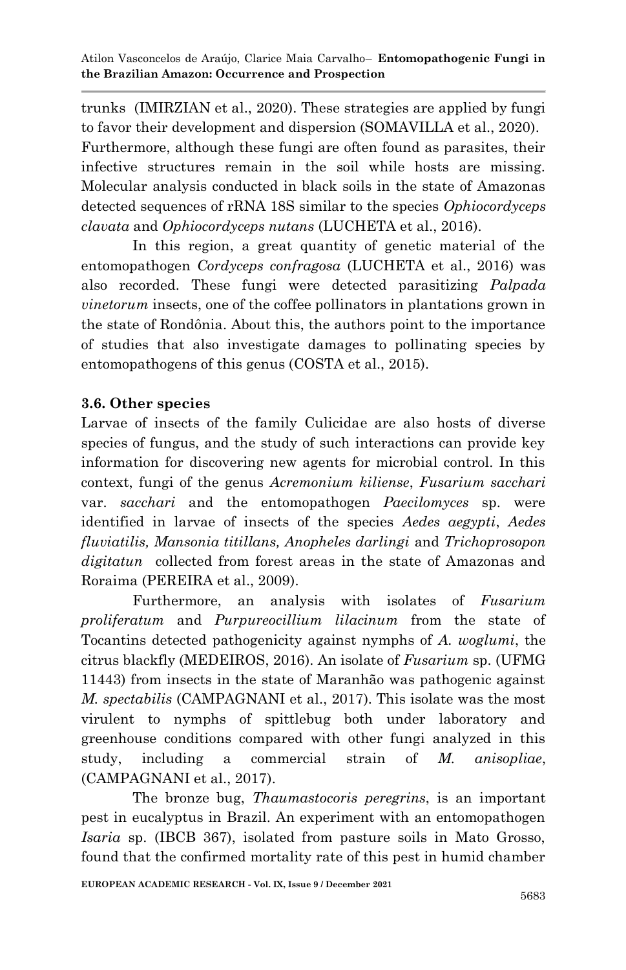trunks [\(IMIRZIAN et al., 2020\)](#page-20-11). These strategies are applied by fungi to favor their development and dispersion [\(SOMAVILLA et al., 2020\)](#page-22-14). Furthermore, although these fungi are often found as parasites, their infective structures remain in the soil while hosts are missing. Molecular analysis conducted in black soils in the state of Amazonas detected sequences of rRNA 18S similar to the species *Ophiocordyceps clavata* and *Ophiocordyceps nutans* [\(LUCHETA et al., 2016\)](#page-20-12).

In this region, a great quantity of genetic material of the entomopathogen *Cordyceps confragosa* [\(LUCHETA et al., 2016\)](#page-20-12) was also recorded. These fungi were detected parasitizing *Palpada vinetorum* insects, one of the coffee pollinators in plantations grown in the state of Rondônia. About this, the authors point to the importance of studies that also investigate damages to pollinating species by entomopathogens of this genus [\(COSTA et al., 2015\)](#page-19-14).

## **3.6. Other species**

Larvae of insects of the family Culicidae are also hosts of diverse species of fungus, and the study of such interactions can provide key information for discovering new agents for microbial control. In this context, fungi of the genus *Acremonium kiliense*, *Fusarium sacchari* var. *sacchari* and the entomopathogen *Paecilomyces* sp. were identified in larvae of insects of the species *Aedes aegypti*, *Aedes fluviatilis, Mansonia titillans, Anopheles darlingi* and *Trichoprosopon digitatun* collected from forest areas in the state of Amazonas and Roraima [\(PEREIRA et al., 2009\)](#page-22-15).

Furthermore, an analysis with isolates of *Fusarium proliferatum* and *Purpureocillium lilacinum* from the state of Tocantins detected pathogenicity against nymphs of *A. woglumi*, the citrus blackfly [\(MEDEIROS, 2016\)](#page-21-14). An isolate of *Fusarium* sp. (UFMG 11443) from insects in the state of Maranhão was pathogenic against *M. spectabilis* [\(CAMPAGNANI et al., 2017\)](#page-18-7). This isolate was the most virulent to nymphs of spittlebug both under laboratory and greenhouse conditions compared with other fungi analyzed in this study, including a commercial strain of *M. anisopliae*, [\(CAMPAGNANI et al., 2017\)](#page-18-7).

The bronze bug, *Thaumastocoris peregrins*, is an important pest in eucalyptus in Brazil. An experiment with an entomopathogen *Isaria* sp. (IBCB 367), isolated from pasture soils in Mato Grosso, found that the confirmed mortality rate of this pest in humid chamber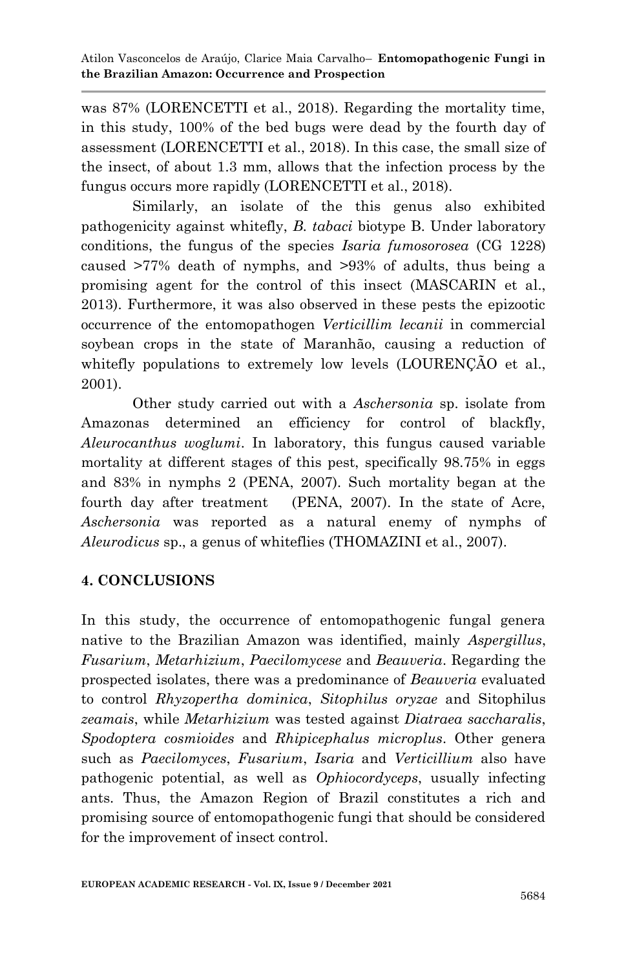was 87% [\(LORENCETTI et al., 2018\)](#page-20-13). Regarding the mortality time, in this study, 100% of the bed bugs were dead by the fourth day of assessment [\(LORENCETTI et al., 2018\)](#page-20-13). In this case, the small size of the insect, of about 1.3 mm, allows that the infection process by the fungus occurs more rapidly [\(LORENCETTI et al., 2018\)](#page-20-13).

Similarly, an isolate of the this genus also exhibited pathogenicity against whitefly, *B. tabaci* biotype B. Under laboratory conditions, the fungus of the species *Isaria fumosorosea* (CG 1228) caused >77% death of nymphs, and >93% of adults, thus being a promising agent for the control of this insect [\(MASCARIN et al.,](#page-21-9)  [2013\)](#page-21-9). Furthermore, it was also observed in these pests the epizootic occurrence of the entomopathogen *Verticillim lecanii* in commercial soybean crops in the state of Maranhão, causing a reduction of whitefly populations to extremely low levels (LOURENÇÃO et al., [2001\)](#page-20-14).

Other study carried out with a *Aschersonia* sp. isolate from Amazonas determined an efficiency for control of blackfly, *Aleurocanthus woglumi*. In laboratory, this fungus caused variable mortality at different stages of this pest, specifically 98.75% in eggs and 83% in nymphs 2 [\(PENA, 2007\)](#page-21-15). Such mortality began at the fourth day after treatment [\(PENA, 2007\)](#page-21-15). In the state of Acre, *Aschersonia* was reported as a natural enemy of nymphs of *Aleurodicus* sp., a genus of whiteflies [\(THOMAZINI et al., 2007\)](#page-23-5).

## **4. CONCLUSIONS**

In this study, the occurrence of entomopathogenic fungal genera native to the Brazilian Amazon was identified, mainly *Aspergillus*, *Fusarium*, *Metarhizium*, *Paecilomycese* and *Beauveria*. Regarding the prospected isolates, there was a predominance of *Beauveria* evaluated to control *Rhyzopertha dominica*, *Sitophilus oryzae* and Sitophilus *zeamais*, while *Metarhizium* was tested against *Diatraea saccharalis*, *Spodoptera cosmioides* and *Rhipicephalus microplus*. Other genera such as *Paecilomyces*, *Fusarium*, *Isaria* and *Verticillium* also have pathogenic potential, as well as *Ophiocordyceps*, usually infecting ants. Thus, the Amazon Region of Brazil constitutes a rich and promising source of entomopathogenic fungi that should be considered for the improvement of insect control.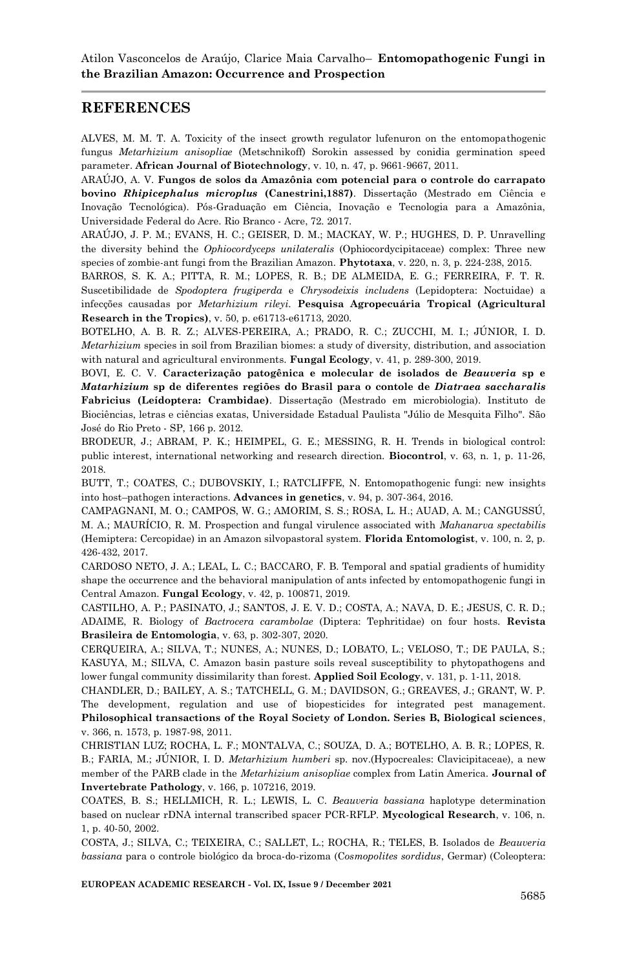### **REFERENCES**

<span id="page-18-10"></span>ALVES, M. M. T. A. Toxicity of the insect growth regulator lufenuron on the entomopathogenic fungus *Metarhizium anisopliae* (Metschnikoff) Sorokin assessed by conidia germination speed parameter. **African Journal of Biotechnology**, v. 10, n. 47, p. 9661-9667, 2011.

<span id="page-18-11"></span>ARAÚJO, A. V. **Fungos de solos da Amazônia com potencial para o controle do carrapato bovino** *Rhipicephalus microplus* **(Canestrini,1887)**. Dissertação (Mestrado em Ciência e Inovação Tecnológica). Pós-Graduação em Ciência, Inovação e Tecnologia para a Amazônia, Universidade Federal do Acre. Rio Branco - Acre, 72. 2017.

<span id="page-18-13"></span>ARAÚJO, J. P. M.; EVANS, H. C.; GEISER, D. M.; MACKAY, W. P.; HUGHES, D. P. Unravelling the diversity behind the *Ophiocordyceps unilateralis* (Ophiocordycipitaceae) complex: Three new species of zombie-ant fungi from the Brazilian Amazon. **Phytotaxa**, v. 220, n. 3, p. 224-238, 2015.

<span id="page-18-3"></span>BARROS, S. K. A.; PITTA, R. M.; LOPES, R. B.; DE ALMEIDA, E. G.; FERREIRA, F. T. R. Suscetibilidade de *Spodoptera frugiperda* e *Chrysodeixis includens* (Lepidoptera: Noctuidae) a infecções causadas por *Metarhizium rileyi*. **Pesquisa Agropecuária Tropical (Agricultural Research in the Tropics)**, v. 50, p. e61713-e61713, 2020.

<span id="page-18-8"></span>BOTELHO, A. B. R. Z.; ALVES-PEREIRA, A.; PRADO, R. C.; ZUCCHI, M. I.; JÚNIOR, I. D. *Metarhizium* species in soil from Brazilian biomes: a study of diversity, distribution, and association with natural and agricultural environments. **Fungal Ecology**, v. 41, p. 289-300, 2019.

<span id="page-18-6"></span>BOVI, E. C. V. **Caracterização patogênica e molecular de isolados de** *Beauveria* **sp e**  *Matarhizium* **sp de diferentes regiões do Brasil para o contole de** *Diatraea saccharalis*  **Fabricius (Leídoptera: Crambidae)**. Dissertação (Mestrado em microbiologia). Instituto de Biociências, letras e ciências exatas, Universidade Estadual Paulista "Júlio de Mesquita Filho". São José do Rio Preto - SP, 166 p. 2012.

<span id="page-18-0"></span>BRODEUR, J.; ABRAM, P. K.; HEIMPEL, G. E.; MESSING, R. H. Trends in biological control: public interest, international networking and research direction. **Biocontrol**, v. 63, n. 1, p. 11-26, 2018.

<span id="page-18-1"></span>BUTT, T.; COATES, C.; DUBOVSKIY, I.; RATCLIFFE, N. Entomopathogenic fungi: new insights into host–pathogen interactions. **Advances in genetics**, v. 94, p. 307-364, 2016.

<span id="page-18-7"></span>CAMPAGNANI, M. O.; CAMPOS, W. G.; AMORIM, S. S.; ROSA, L. H.; AUAD, A. M.; CANGUSSÚ, M. A.; MAURÍCIO, R. M. Prospection and fungal virulence associated with *Mahanarva spectabilis* (Hemiptera: Cercopidae) in an Amazon silvopastoral system. **Florida Entomologist**, v. 100, n. 2, p. 426-432, 2017.

<span id="page-18-12"></span>CARDOSO NETO, J. A.; LEAL, L. C.; BACCARO, F. B. Temporal and spatial gradients of humidity shape the occurrence and the behavioral manipulation of ants infected by entomopathogenic fungi in Central Amazon. **Fungal Ecology**, v. 42, p. 100871, 2019.

<span id="page-18-9"></span>CASTILHO, A. P.; PASINATO, J.; SANTOS, J. E. V. D.; COSTA, A.; NAVA, D. E.; JESUS, C. R. D.; ADAIME, R. Biology of *Bactrocera carambolae* (Diptera: Tephritidae) on four hosts. **Revista Brasileira de Entomologia**, v. 63, p. 302-307, 2020.

CERQUEIRA, A.; SILVA, T.; NUNES, A.; NUNES, D.; LOBATO, L.; VELOSO, T.; DE PAULA, S.; KASUYA, M.; SILVA, C. Amazon basin pasture soils reveal susceptibility to phytopathogens and lower fungal community dissimilarity than forest. **Applied Soil Ecology**, v. 131, p. 1-11, 2018.

CHANDLER, D.; BAILEY, A. S.; TATCHELL, G. M.; DAVIDSON, G.; GREAVES, J.; GRANT, W. P. The development, regulation and use of biopesticides for integrated pest management. **Philosophical transactions of the Royal Society of London. Series B, Biological sciences**, v. 366, n. 1573, p. 1987-98, 2011.

<span id="page-18-2"></span>CHRISTIAN LUZ; ROCHA, L. F.; MONTALVA, C.; SOUZA, D. A.; BOTELHO, A. B. R.; LOPES, R. B.; FARIA, M.; JÚNIOR, I. D. *Metarhizium humberi* sp. nov.(Hypocreales: Clavicipitaceae), a new member of the PARB clade in the *Metarhizium anisopliae* complex from Latin America. **Journal of Invertebrate Pathology**, v. 166, p. 107216, 2019.

<span id="page-18-4"></span>COATES, B. S.; HELLMICH, R. L.; LEWIS, L. C. *Beauveria bassiana* haplotype determination based on nuclear rDNA internal transcribed spacer PCR-RFLP. **Mycological Research**, v. 106, n. 1, p. 40-50, 2002.

<span id="page-18-5"></span>COSTA, J.; SILVA, C.; TEIXEIRA, C.; SALLET, L.; ROCHA, R.; TELES, B. Isolados de *Beauveria bassiana* para o controle biológico da broca-do-rizoma (C*osmopolites sordidus*, Germar) (Coleoptera:

**EUROPEAN ACADEMIC RESEARCH - Vol. IX, Issue 9 / December 2021**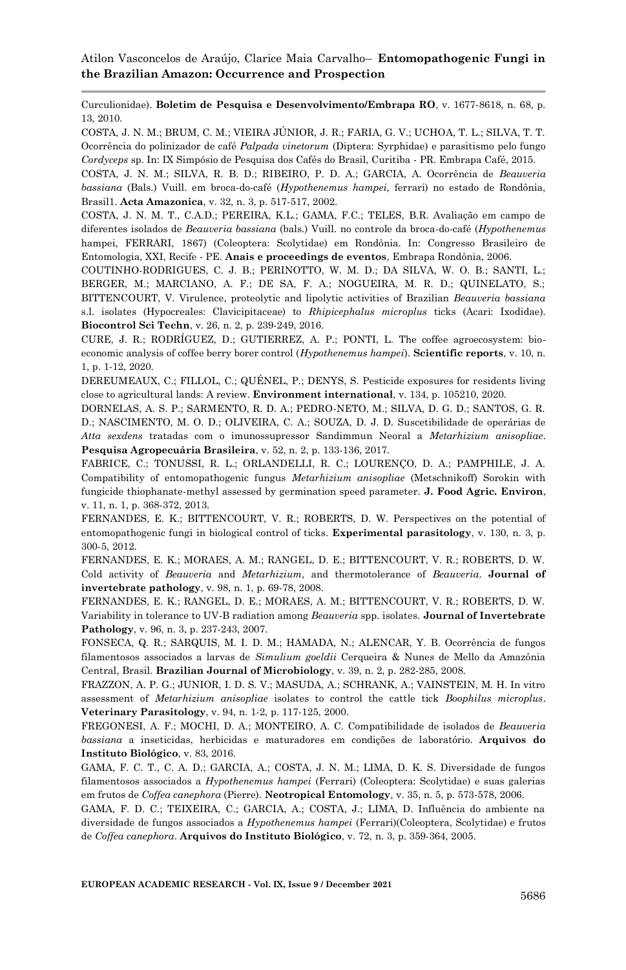Curculionidae). **Boletim de Pesquisa e Desenvolvimento/Embrapa RO**, v. 1677-8618, n. 68, p. 13, 2010.

<span id="page-19-14"></span>COSTA, J. N. M.; BRUM, C. M.; VIEIRA JÚNIOR, J. R.; FARIA, G. V.; UCHOA, T. L.; SILVA, T. T. Ocorrência do polinizador de café *Palpada vinetorum* (Diptera: Syrphidae) e parasitismo pelo fungo *Cordyceps* sp. In: IX Simpósio de Pesquisa dos Cafés do Brasil, Curitiba - PR. Embrapa Café, 2015.

<span id="page-19-4"></span>COSTA, J. N. M.; SILVA, R. B. D.; RIBEIRO, P. D. A.; GARCIA, A. Ocorrência de *Beauveria bassiana* (Bals.) Vuill. em broca-do-café (*Hypothenemus hampei,* ferrari) no estado de Rondônia, Brasil1. **Acta Amazonica**, v. 32, n. 3, p. 517-517, 2002.

<span id="page-19-7"></span>COSTA, J. N. M. T., C.A.D.; PEREIRA, K.L.; GAMA, F.C.; TELES, B.R. Avaliação em campo de diferentes isolados de *Beauveria bassiana* (bals.) Vuill. no controle da broca-do-café (*Hypothenemus*  hampei, FERRARI, 1867) (Coleoptera: Scolytidae) em Rondônia. In: Congresso Brasileiro de Entomologia, XXI, Recife - PE. **Anais e proceedings de eventos**, Embrapa Rondônia, 2006.

<span id="page-19-2"></span>COUTINHO-RODRIGUES, C. J. B.; PERINOTTO, W. M. D.; DA SILVA, W. O. B.; SANTI, L.; BERGER, M.; MARCIANO, A. F.; DE SA, F. A.; NOGUEIRA, M. R. D.; QUINELATO, S.; BITTENCOURT, V. Virulence, proteolytic and lipolytic activities of Brazilian *Beauveria bassiana* s.l. isolates (Hypocreales: Clavicipitaceae) to *Rhipicephalus microplus* ticks (Acari: Ixodidae). **Biocontrol Sci Techn**, v. 26, n. 2, p. 239-249, 2016.

<span id="page-19-3"></span>CURE, J. R.; RODRÍGUEZ, D.; GUTIERREZ, A. P.; PONTI, L. The coffee agroecosystem: bioeconomic analysis of coffee berry borer control (*Hypothenemus hampei*). **Scientific reports**, v. 10, n. 1, p. 1-12, 2020.

<span id="page-19-0"></span>DEREUMEAUX, C.; FILLOL, C.; QUÉNEL, P.; DENYS, S. Pesticide exposures for residents living close to agricultural lands: A review. **Environment international**, v. 134, p. 105210, 2020.

<span id="page-19-12"></span>DORNELAS, A. S. P.; SARMENTO, R. D. A.; PEDRO-NETO, M.; SILVA, D. G. D.; SANTOS, G. R. D.; NASCIMENTO, M. O. D.; OLIVEIRA, C. A.; SOUZA, D. J. D. Suscetibilidade de operárias de *Atta sexdens* tratadas com o imunossupressor Sandimmun Neoral a *Metarhizium anisopliae*. **Pesquisa Agropecuária Brasileira**, v. 52, n. 2, p. 133-136, 2017.

<span id="page-19-10"></span>FABRICE, C.; TONUSSI, R. L.; ORLANDELLI, R. C.; LOURENÇO, D. A.; PAMPHILE, J. A. Compatibility of entomopathogenic fungus *Metarhizium anisopliae* (Metschnikoff) Sorokin with fungicide thiophanate-methyl assessed by germination speed parameter. **J. Food Agric. Environ**, v. 11, n. 1, p. 368-372, 2013.

<span id="page-19-1"></span>FERNANDES, E. K.; BITTENCOURT, V. R.; ROBERTS, D. W. Perspectives on the potential of entomopathogenic fungi in biological control of ticks. **Experimental parasitology**, v. 130, n. 3, p. 300-5, 2012.

FERNANDES, E. K.; MORAES, A. M.; RANGEL, D. E.; BITTENCOURT, V. R.; ROBERTS, D. W. Cold activity of *Beauveria* and *Metarhizium*, and thermotolerance of *Beauveria*. **Journal of invertebrate pathology**, v. 98, n. 1, p. 69-78, 2008.

<span id="page-19-9"></span>FERNANDES, E. K.; RANGEL, D. E.; MORAES, A. M.; BITTENCOURT, V. R.; ROBERTS, D. W. Variability in tolerance to UV-B radiation among *Beauveria* spp. isolates. **Journal of Invertebrate Pathology**, v. 96, n. 3, p. 237-243, 2007.

<span id="page-19-11"></span>FONSECA, Q. R.; SARQUIS, M. I. D. M.; HAMADA, N.; ALENCAR, Y. B. Ocorrência de fungos filamentosos associados a larvas de *Simulium goeldii* Cerqueira & Nunes de Mello da Amazônia Central, Brasil. **Brazilian Journal of Microbiology**, v. 39, n. 2, p. 282-285, 2008.

<span id="page-19-13"></span>FRAZZON, A. P. G.; JUNIOR, I. D. S. V.; MASUDA, A.; SCHRANK, A.; VAINSTEIN, M. H. In vitro assessment of *Metarhizium anisopliae* isolates to control the cattle tick *Boophilus microplus*. **Veterinary Parasitology**, v. 94, n. 1-2, p. 117-125, 2000.

<span id="page-19-8"></span>FREGONESI, A. F.; MOCHI, D. A.; MONTEIRO, A. C. Compatibilidade de isolados de *Beauveria bassiana* a inseticidas, herbicidas e maturadores em condições de laboratório. **Arquivos do Instituto Biológico**, v. 83, 2016.

<span id="page-19-6"></span>GAMA, F. C. T., C. A. D.; GARCIA, A.; COSTA, J. N. M.; LIMA, D. K. S. Diversidade de fungos filamentosos associados a *Hypothenemus hampei* (Ferrari) (Coleoptera: Scolytidae) e suas galerias em frutos de *Coffea canephora* (Pierre). **Neotropical Entomology**, v. 35, n. 5, p. 573-578, 2006.

<span id="page-19-5"></span>GAMA, F. D. C.; TEIXEIRA, C.; GARCIA, A.; COSTA, J.; LIMA, D. Influência do ambiente na diversidade de fungos associados a *Hypothenemus hampei* (Ferrari)(Coleoptera, Scolytidae) e frutos de *Coffea canephora*. **Arquivos do Instituto Biológico**, v. 72, n. 3, p. 359-364, 2005.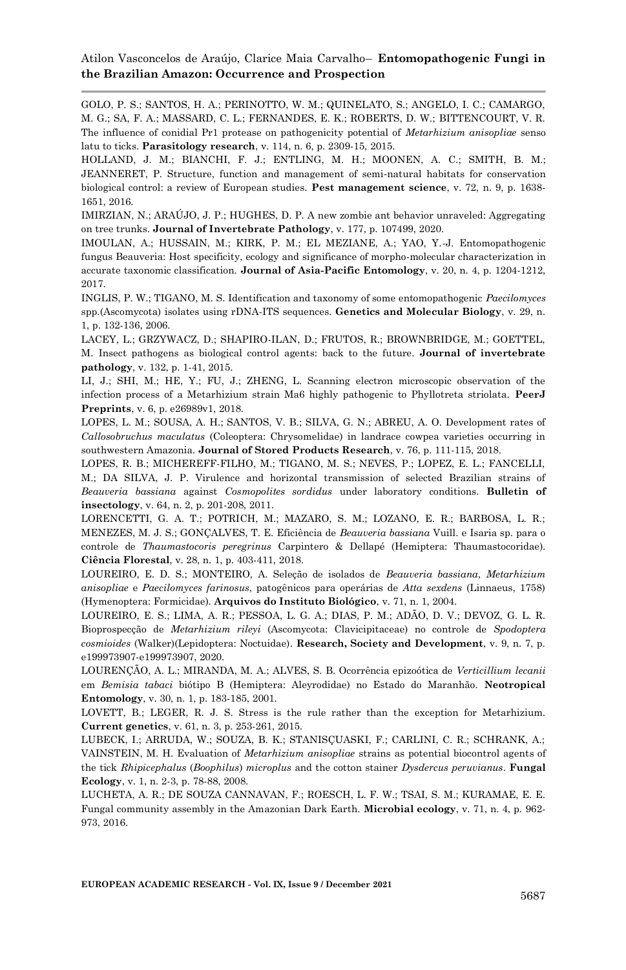<span id="page-20-1"></span>GOLO, P. S.; SANTOS, H. A.; PERINOTTO, W. M.; QUINELATO, S.; ANGELO, I. C.; CAMARGO, M. G.; SA, F. A.; MASSARD, C. L.; FERNANDES, E. K.; ROBERTS, D. W.; BITTENCOURT, V. R. The influence of conidial Pr1 protease on pathogenicity potential of *Metarhizium anisopliae* senso latu to ticks. **Parasitology research**, v. 114, n. 6, p. 2309-15, 2015.

<span id="page-20-4"></span>HOLLAND, J. M.; BIANCHI, F. J.; ENTLING, M. H.; MOONEN, A. C.; SMITH, B. M.; JEANNERET, P. Structure, function and management of semi‐natural habitats for conservation biological control: a review of European studies. **Pest management science**, v. 72, n. 9, p. 1638- 1651, 2016.

<span id="page-20-11"></span>IMIRZIAN, N.; ARAÚJO, J. P.; HUGHES, D. P. A new zombie ant behavior unraveled: Aggregating on tree trunks. **Journal of Invertebrate Pathology**, v. 177, p. 107499, 2020.

IMOULAN, A.; HUSSAIN, M.; KIRK, P. M.; EL MEZIANE, A.; YAO, Y.-J. Entomopathogenic fungus Beauveria: Host specificity, ecology and significance of morpho-molecular characterization in accurate taxonomic classification. **Journal of Asia-Pacific Entomology**, v. 20, n. 4, p. 1204-1212, 2017.

<span id="page-20-10"></span>INGLIS, P. W.; TIGANO, M. S. Identification and taxonomy of some entomopathogenic *Paecilomyces*  spp.(Ascomycota) isolates using rDNA-ITS sequences. **Genetics and Molecular Biology**, v. 29, n. 1, p. 132-136, 2006.

<span id="page-20-0"></span>LACEY, L.; GRZYWACZ, D.; SHAPIRO-ILAN, D.; FRUTOS, R.; BROWNBRIDGE, M.; GOETTEL, M. Insect pathogens as biological control agents: back to the future. **Journal of invertebrate pathology**, v. 132, p. 1-41, 2015.

<span id="page-20-3"></span>LI, J.; SHI, M.; HE, Y.; FU, J.; ZHENG, L. Scanning electron microscopic observation of the infection process of a Metarhizium strain Ma6 highly pathogenic to Phyllotreta striolata. **PeerJ Preprints**, v. 6, p. e26989v1, 2018.

<span id="page-20-9"></span>LOPES, L. M.; SOUSA, A. H.; SANTOS, V. B.; SILVA, G. N.; ABREU, A. O. Development rates of *Callosobruchus maculatus* (Coleoptera: Chrysomelidae) in landrace cowpea varieties occurring in southwestern Amazonia. **Journal of Stored Products Research**, v. 76, p. 111-115, 2018.

<span id="page-20-5"></span>LOPES, R. B.; MICHEREFF-FILHO, M.; TIGANO, M. S.; NEVES, P.; LOPEZ, E. L.; FANCELLI, M.; DA SILVA, J. P. Virulence and horizontal transmission of selected Brazilian strains of *Beauveria bassiana* against *Cosmopolites sordidus* under laboratory conditions. **Bulletin of insectology**, v. 64, n. 2, p. 201-208, 2011.

<span id="page-20-13"></span>LORENCETTI, G. A. T.; POTRICH, M.; MAZARO, S. M.; LOZANO, E. R.; BARBOSA, L. R.; MENEZES, M. J. S.; GONÇALVES, T. E. Eficiência de *Beauveria bassiana* Vuill. e Isaria sp. para o controle de *Thaumastocoris peregrinus* Carpintero & Dellapé (Hemiptera: Thaumastocoridae). **Ciência Florestal**, v. 28, n. 1, p. 403-411, 2018.

<span id="page-20-6"></span>LOUREIRO, E. D. S.; MONTEIRO, A. Seleção de isolados de *Beauveria bassiana*, *Metarhizium anisopliae* e *Paecilomyces farinosus*, patogênicos para operárias de *Atta sexdens* (Linnaeus, 1758) (Hymenoptera: Formicidae). **Arquivos do Instituto Biológico**, v. 71, n. 1, 2004.

<span id="page-20-7"></span>LOUREIRO, E. S.; LIMA, A. R.; PESSOA, L. G. A.; DIAS, P. M.; ADÃO, D. V.; DEVOZ, G. L. R. Bioprospecção de *Metarhizium rileyi* (Ascomycota: Clavicipitaceae) no controle de *Spodoptera cosmioides* (Walker)(Lepidoptera: Noctuidae). **Research, Society and Development**, v. 9, n. 7, p. e199973907-e199973907, 2020.

<span id="page-20-14"></span>LOURENÇÃO, A. L.; MIRANDA, M. A.; ALVES, S. B. Ocorrência epizoótica de *Verticillium lecanii*  em *Bemisia tabaci* biótipo B (Hemiptera: Aleyrodidae) no Estado do Maranhão. **Neotropical Entomology**, v. 30, n. 1, p. 183-185, 2001.

<span id="page-20-2"></span>LOVETT, B.; LEGER, R. J. S. Stress is the rule rather than the exception for Metarhizium. **Current genetics**, v. 61, n. 3, p. 253-261, 2015.

<span id="page-20-8"></span>LUBECK, I.; ARRUDA, W.; SOUZA, B. K.; STANISÇUASKI, F.; CARLINI, C. R.; SCHRANK, A.; VAINSTEIN, M. H. Evaluation of *Metarhizium anisopliae* strains as potential biocontrol agents of the tick *Rhipicephalus* (*Boophilus*) *microplus* and the cotton stainer *Dysdercus peruvianus*. **Fungal Ecology**, v. 1, n. 2-3, p. 78-88, 2008.

<span id="page-20-12"></span>LUCHETA, A. R.; DE SOUZA CANNAVAN, F.; ROESCH, L. F. W.; TSAI, S. M.; KURAMAE, E. E. Fungal community assembly in the Amazonian Dark Earth. **Microbial ecology**, v. 71, n. 4, p. 962- 973, 2016.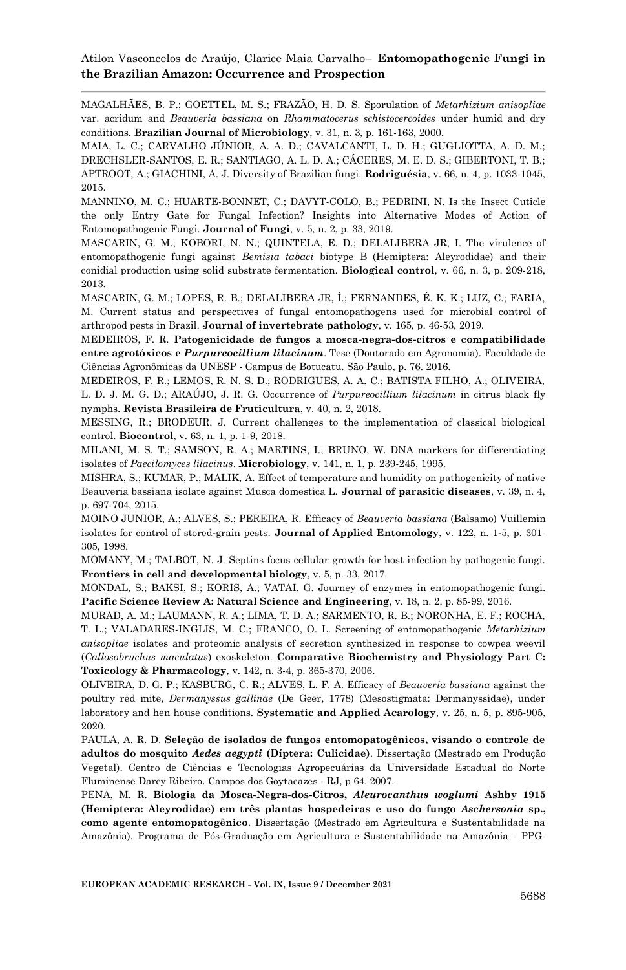<span id="page-21-8"></span>MAGALHÃES, B. P.; GOETTEL, M. S.; FRAZÃO, H. D. S. Sporulation of *Metarhizium anisopliae* var. acridum and *Beauveria bassiana* on *Rhammatocerus schistocercoides* under humid and dry conditions. **Brazilian Journal of Microbiology**, v. 31, n. 3, p. 161-163, 2000.

MAIA, L. C.; CARVALHO JÚNIOR, A. A. D.; CAVALCANTI, L. D. H.; GUGLIOTTA, A. D. M.; DRECHSLER-SANTOS, E. R.; SANTIAGO, A. L. D. A.; CÁCERES, M. E. D. S.; GIBERTONI, T. B.; APTROOT, A.; GIACHINI, A. J. Diversity of Brazilian fungi. **Rodriguésia**, v. 66, n. 4, p. 1033-1045, 2015.

<span id="page-21-3"></span>MANNINO, M. C.; HUARTE-BONNET, C.; DAVYT-COLO, B.; PEDRINI, N. Is the Insect Cuticle the only Entry Gate for Fungal Infection? Insights into Alternative Modes of Action of Entomopathogenic Fungi. **Journal of Fungi**, v. 5, n. 2, p. 33, 2019.

<span id="page-21-9"></span>MASCARIN, G. M.; KOBORI, N. N.; QUINTELA, E. D.; DELALIBERA JR, I. The virulence of entomopathogenic fungi against *Bemisia tabaci* biotype B (Hemiptera: Aleyrodidae) and their conidial production using solid substrate fermentation. **Biological control**, v. 66, n. 3, p. 209-218, 2013.

<span id="page-21-5"></span>MASCARIN, G. M.; LOPES, R. B.; DELALIBERA JR, Í.; FERNANDES, É. K. K.; LUZ, C.; FARIA, M. Current status and perspectives of fungal entomopathogens used for microbial control of arthropod pests in Brazil. **Journal of invertebrate pathology**, v. 165, p. 46-53, 2019.

<span id="page-21-14"></span>MEDEIROS, F. R. **Patogenicidade de fungos a mosca-negra-dos-citros e compatibilidade entre agrotóxicos e** *Purpureocillium lilacinum*. Tese (Doutorado em Agronomia). Faculdade de Ciências Agronômicas da UNESP - Campus de Botucatu. São Paulo, p. 76. 2016.

<span id="page-21-13"></span>MEDEIROS, F. R.; LEMOS, R. N. S. D.; RODRIGUES, A. A. C.; BATISTA FILHO, A.; OLIVEIRA, L. D. J. M. G. D.; ARAÚJO, J. R. G. Occurrence of *Purpureocillium lilacinum* in citrus black fly nymphs. **Revista Brasileira de Fruticultura**, v. 40, n. 2, 2018.

<span id="page-21-0"></span>MESSING, R.; BRODEUR, J. Current challenges to the implementation of classical biological control. **Biocontrol**, v. 63, n. 1, p. 1-9, 2018.

<span id="page-21-12"></span>MILANI, M. S. T.; SAMSON, R. A.; MARTINS, I.; BRUNO, W. DNA markers for differentiating isolates of *Paecilomyces lilacinus*. **Microbiology**, v. 141, n. 1, p. 239-245, 1995.

<span id="page-21-4"></span>MISHRA, S.; KUMAR, P.; MALIK, A. Effect of temperature and humidity on pathogenicity of native Beauveria bassiana isolate against Musca domestica L. **Journal of parasitic diseases**, v. 39, n. 4, p. 697-704, 2015.

<span id="page-21-7"></span>MOINO JUNIOR, A.; ALVES, S.; PEREIRA, R. Efficacy of *Beauveria bassiana* (Balsamo) Vuillemin isolates for control of stored‐grain pests. **Journal of Applied Entomology**, v. 122, n. 1‐5, p. 301- 305, 1998.

<span id="page-21-1"></span>MOMANY, M.; TALBOT, N. J. Septins focus cellular growth for host infection by pathogenic fungi. **Frontiers in cell and developmental biology**, v. 5, p. 33, 2017.

<span id="page-21-2"></span>MONDAL, S.; BAKSI, S.; KORIS, A.; VATAI, G. Journey of enzymes in entomopathogenic fungi. **Pacific Science Review A: Natural Science and Engineering**, v. 18, n. 2, p. 85-99, 2016.

<span id="page-21-11"></span>MURAD, A. M.; LAUMANN, R. A.; LIMA, T. D. A.; SARMENTO, R. B.; NORONHA, E. F.; ROCHA, T. L.; VALADARES-INGLIS, M. C.; FRANCO, O. L. Screening of entomopathogenic *Metarhizium anisopliae* isolates and proteomic analysis of secretion synthesized in response to cowpea weevil (*Callosobruchus maculatus*) exoskeleton. **Comparative Biochemistry and Physiology Part C: Toxicology & Pharmacology**, v. 142, n. 3-4, p. 365-370, 2006.

<span id="page-21-6"></span>OLIVEIRA, D. G. P.; KASBURG, C. R.; ALVES, L. F. A. Efficacy of *Beauveria bassiana* against the poultry red mite, *Dermanyssus gallinae* (De Geer, 1778) (Mesostigmata: Dermanyssidae), under laboratory and hen house conditions. **Systematic and Applied Acarology**, v. 25, n. 5, p. 895-905, 2020.

<span id="page-21-10"></span>PAULA, A. R. D. **Seleção de isolados de fungos entomopatogênicos, visando o controle de adultos do mosquito** *Aedes aegypti* **(Díptera: Culicidae)**. Dissertação (Mestrado em Produção Vegetal). Centro de Ciências e Tecnologias Agropecuárias da Universidade Estadual do Norte Fluminense Darcy Ribeiro. Campos dos Goytacazes - RJ, p 64. 2007.

<span id="page-21-15"></span>PENA, M. R. **Biologia da Mosca-Negra-dos-Citros,** *Aleurocanthus woglumi* **Ashby 1915 (Hemiptera: Aleyrodidae) em três plantas hospedeiras e uso do fungo** *Aschersonia* **sp., como agente entomopatogênico**. Dissertação (Mestrado em Agricultura e Sustentabilidade na Amazônia). Programa de Pós-Graduação em Agricultura e Sustentabilidade na Amazônia - PPG-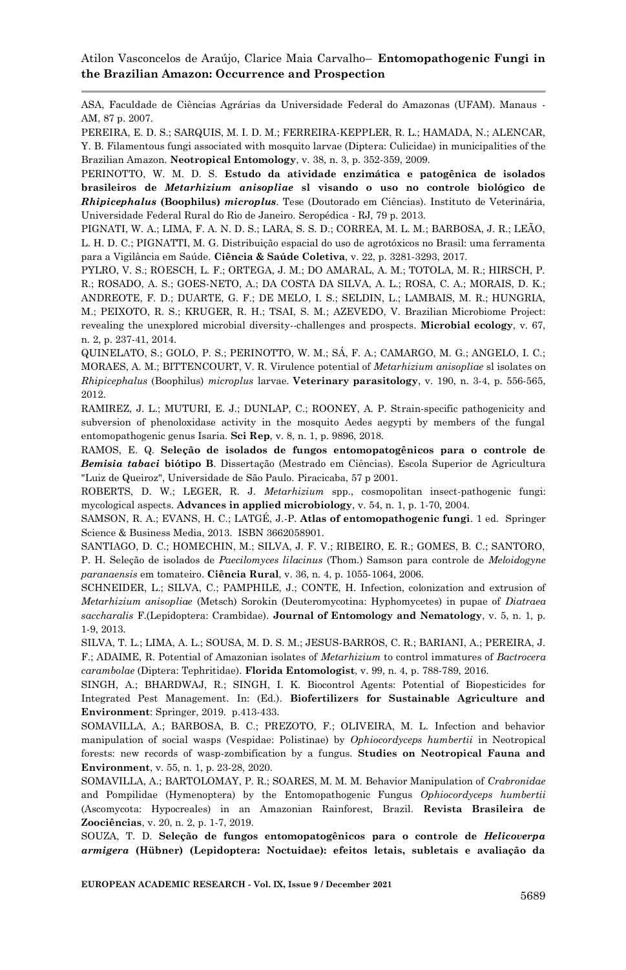ASA, Faculdade de Ciências Agrárias da Universidade Federal do Amazonas (UFAM). Manaus - AM, 87 p. 2007.

<span id="page-22-15"></span>PEREIRA, E. D. S.; SARQUIS, M. I. D. M.; FERREIRA-KEPPLER, R. L.; HAMADA, N.; ALENCAR, Y. B. Filamentous fungi associated with mosquito larvae (Diptera: Culicidae) in municipalities of the Brazilian Amazon. **Neotropical Entomology**, v. 38, n. 3, p. 352-359, 2009.

<span id="page-22-10"></span>PERINOTTO, W. M. D. S. **Estudo da atividade enzimática e patogênica de isolados brasileiros de** *Metarhizium anisopliae* **sl visando o uso no controle biológico de**  *Rhipicephalus* **(Boophilus)** *microplus*. Tese (Doutorado em Ciências). Instituto de Veterinária, Universidade Federal Rural do Rio de Janeiro. Seropédica - RJ, 79 p. 2013.

<span id="page-22-0"></span>PIGNATI, W. A.; LIMA, F. A. N. D. S.; LARA, S. S. D.; CORREA, M. L. M.; BARBOSA, J. R.; LEÃO, L. H. D. C.; PIGNATTI, M. G. Distribuição espacial do uso de agrotóxicos no Brasil: uma ferramenta para a Vigilância em Saúde. **Ciência & Saúde Coletiva**, v. 22, p. 3281-3293, 2017.

<span id="page-22-5"></span>PYLRO, V. S.; ROESCH, L. F.; ORTEGA, J. M.; DO AMARAL, A. M.; TOTOLA, M. R.; HIRSCH, P. R.; ROSADO, A. S.; GOES-NETO, A.; DA COSTA DA SILVA, A. L.; ROSA, C. A.; MORAIS, D. K.; ANDREOTE, F. D.; DUARTE, G. F.; DE MELO, I. S.; SELDIN, L.; LAMBAIS, M. R.; HUNGRIA, M.; PEIXOTO, R. S.; KRUGER, R. H.; TSAI, S. M.; AZEVEDO, V. Brazilian Microbiome Project: revealing the unexplored microbial diversity--challenges and prospects. **Microbial ecology**, v. 67, n. 2, p. 237-41, 2014.

<span id="page-22-9"></span>QUINELATO, S.; GOLO, P. S.; PERINOTTO, W. M.; SÁ, F. A.; CAMARGO, M. G.; ANGELO, I. C.; MORAES, A. M.; BITTENCOURT, V. R. Virulence potential of *Metarhizium anisopliae* sl isolates on *Rhipicephalus* (Boophilus) *microplus* larvae. **Veterinary parasitology**, v. 190, n. 3-4, p. 556-565, 2012.

<span id="page-22-4"></span>RAMIREZ, J. L.; MUTURI, E. J.; DUNLAP, C.; ROONEY, A. P. Strain-specific pathogenicity and subversion of phenoloxidase activity in the mosquito Aedes aegypti by members of the fungal entomopathogenic genus Isaria. **Sci Rep**, v. 8, n. 1, p. 9896, 2018.

<span id="page-22-6"></span>RAMOS, E. Q. **Seleção de isolados de fungos entomopatogênicos para o controle de**  *Bemisia tabaci* **biótipo B**. Dissertação (Mestrado em Ciências). Escola Superior de Agricultura "Luiz de Queiroz", Universidade de São Paulo. Piracicaba, 57 p 2001.

<span id="page-22-2"></span>ROBERTS, D. W.; LEGER, R. J. *Metarhizium* spp., cosmopolitan insect-pathogenic fungi: mycological aspects. **Advances in applied microbiology**, v. 54, n. 1, p. 1-70, 2004.

<span id="page-22-3"></span>SAMSON, R. A.; EVANS, H. C.; LATGÉ, J.-P. **Atlas of entomopathogenic fungi**. 1 ed. Springer Science & Business Media, 2013. ISBN 3662058901.

<span id="page-22-12"></span>SANTIAGO, D. C.; HOMECHIN, M.; SILVA, J. F. V.; RIBEIRO, E. R.; GOMES, B. C.; SANTORO, P. H. Seleção de isolados de *Paecilomyces lilacinus* (Thom.) Samson para controle de *Meloidogyne paranaensis* em tomateiro. **Ciência Rural**, v. 36, n. 4, p. 1055-1064, 2006.

<span id="page-22-11"></span>SCHNEIDER, L.; SILVA, C.; PAMPHILE, J.; CONTE, H. Infection, colonization and extrusion of *Metarhizium anisopliae* (Metsch) Sorokin (Deuteromycotina: Hyphomycetes) in pupae of *Diatraea saccharalis* F.(Lepidoptera: Crambidae). **Journal of Entomology and Nematology**, v. 5, n. 1, p. 1-9, 2013.

<span id="page-22-8"></span>SILVA, T. L.; LIMA, A. L.; SOUSA, M. D. S. M.; JESUS-BARROS, C. R.; BARIANI, A.; PEREIRA, J. F.; ADAIME, R. Potential of Amazonian isolates of *Metarhizium* to control immatures of *Bactrocera carambolae* (Diptera: Tephritidae). **Florida Entomologist**, v. 99, n. 4, p. 788-789, 2016.

<span id="page-22-1"></span>SINGH, A.; BHARDWAJ, R.; SINGH, I. K. Biocontrol Agents: Potential of Biopesticides for Integrated Pest Management. In: (Ed.). **Biofertilizers for Sustainable Agriculture and Environment**: Springer, 2019. p.413-433.

<span id="page-22-14"></span>SOMAVILLA, A.; BARBOSA, B. C.; PREZOTO, F.; OLIVEIRA, M. L. Infection and behavior manipulation of social wasps (Vespidae: Polistinae) by *Ophiocordyceps humbertii* in Neotropical forests: new records of wasp-zombification by a fungus. **Studies on Neotropical Fauna and Environment**, v. 55, n. 1, p. 23-28, 2020.

<span id="page-22-13"></span>SOMAVILLA, A.; BARTOLOMAY, P. R.; SOARES, M. M. M. Behavior Manipulation of *Crabronidae*  and Pompilidae (Hymenoptera) by the Entomopathogenic Fungus *Ophiocordyceps humbertii*  (Ascomycota: Hypocreales) in an Amazonian Rainforest, Brazil. **Revista Brasileira de Zoociências**, v. 20, n. 2, p. 1-7, 2019.

<span id="page-22-7"></span>SOUZA, T. D. **Seleção de fungos entomopatogênicos para o controle de** *Helicoverpa armigera* **(Hübner) (Lepidoptera: Noctuidae): efeitos letais, subletais e avaliação da**